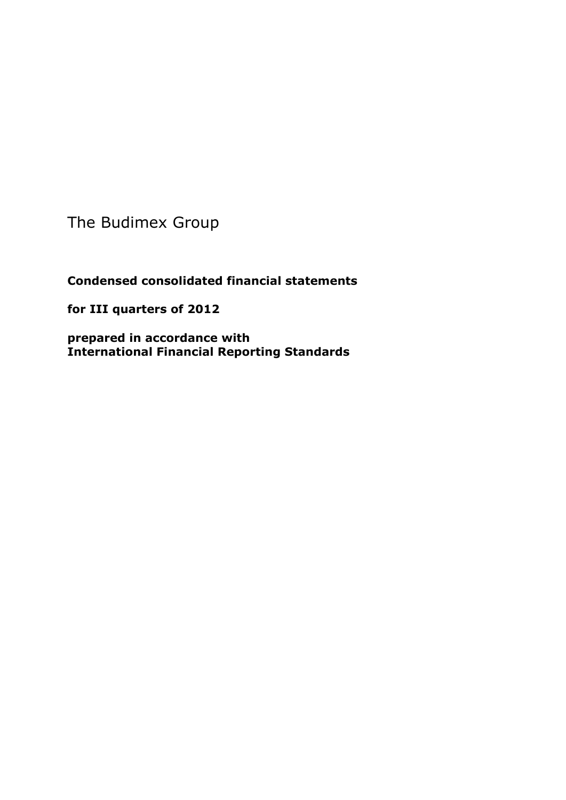The Budimex Group

**Condensed consolidated financial statements** 

**for III quarters of 2012**

**prepared in accordance with International Financial Reporting Standards**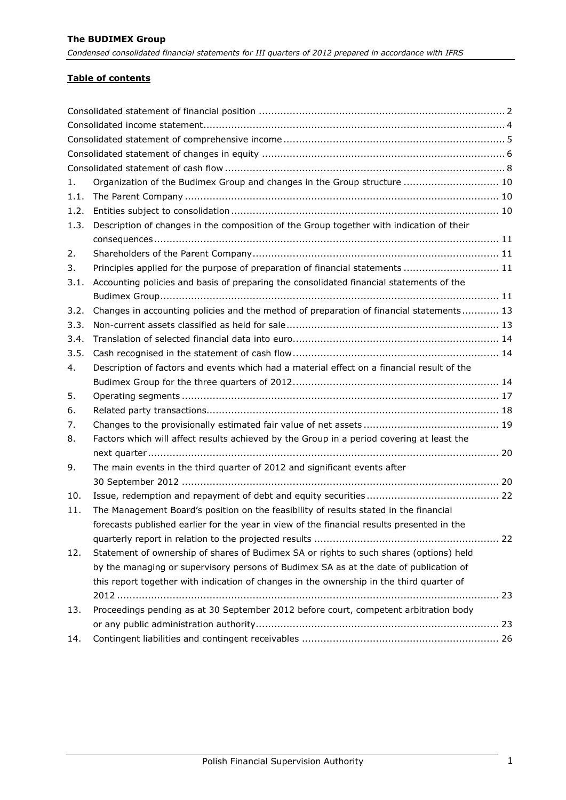## **Table of contents**

| 1.   | Organization of the Budimex Group and changes in the Group structure  10                   |
|------|--------------------------------------------------------------------------------------------|
| 1.1. |                                                                                            |
| 1.2. |                                                                                            |
| 1.3. | Description of changes in the composition of the Group together with indication of their   |
|      |                                                                                            |
| 2.   |                                                                                            |
| 3.   | Principles applied for the purpose of preparation of financial statements  11              |
| 3.1. | Accounting policies and basis of preparing the consolidated financial statements of the    |
|      |                                                                                            |
| 3.2. | Changes in accounting policies and the method of preparation of financial statements 13    |
| 3.3. |                                                                                            |
| 3.4. |                                                                                            |
| 3.5. |                                                                                            |
| 4.   | Description of factors and events which had a material effect on a financial result of the |
|      |                                                                                            |
| 5.   |                                                                                            |
| 6.   |                                                                                            |
| 7.   |                                                                                            |
| 8.   | Factors which will affect results achieved by the Group in a period covering at least the  |
|      |                                                                                            |
| 9.   | The main events in the third quarter of 2012 and significant events after                  |
|      |                                                                                            |
| 10.  |                                                                                            |
| 11.  | The Management Board's position on the feasibility of results stated in the financial      |
|      | forecasts published earlier for the year in view of the financial results presented in the |
|      |                                                                                            |
| 12.  | Statement of ownership of shares of Budimex SA or rights to such shares (options) held     |
|      | by the managing or supervisory persons of Budimex SA as at the date of publication of      |
|      | this report together with indication of changes in the ownership in the third quarter of   |
|      |                                                                                            |
| 13.  | Proceedings pending as at 30 September 2012 before court, competent arbitration body       |
|      |                                                                                            |
| 14.  |                                                                                            |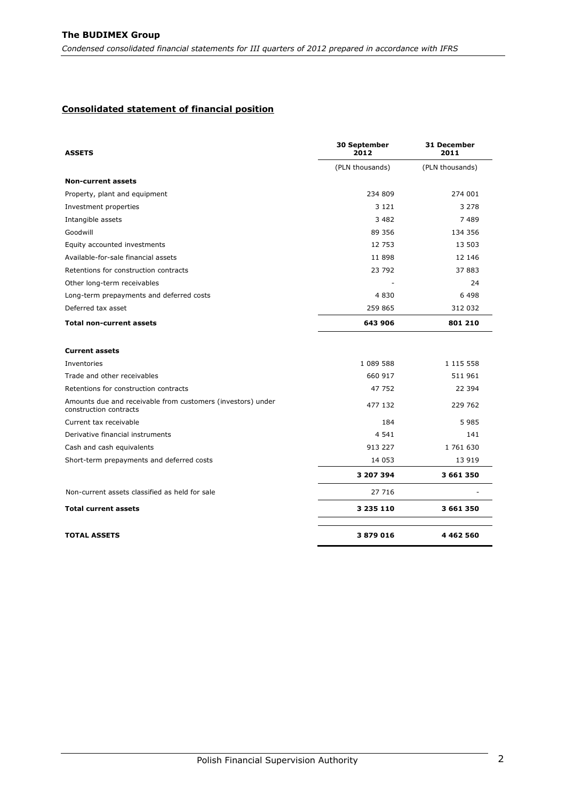#### <span id="page-2-0"></span>**Consolidated statement of financial position**

| <b>ASSETS</b>                                                                         | 30 September<br>2012 | 31 December<br>2011 |
|---------------------------------------------------------------------------------------|----------------------|---------------------|
|                                                                                       | (PLN thousands)      | (PLN thousands)     |
| <b>Non-current assets</b>                                                             |                      |                     |
| Property, plant and equipment                                                         | 234 809              | 274 001             |
| Investment properties                                                                 | 3 1 2 1              | 3 2 7 8             |
| Intangible assets                                                                     | 3 4 8 2              | 7489                |
| Goodwill                                                                              | 89 356               | 134 356             |
| Equity accounted investments                                                          | 12 753               | 13 503              |
| Available-for-sale financial assets                                                   | 11 898               | 12 14 6             |
| Retentions for construction contracts                                                 | 23 792               | 37 883              |
| Other long-term receivables                                                           |                      | 24                  |
| Long-term prepayments and deferred costs                                              | 4 8 3 0              | 6498                |
| Deferred tax asset                                                                    | 259 865              | 312 032             |
| <b>Total non-current assets</b>                                                       | 643 906              | 801 210             |
| <b>Current assets</b>                                                                 |                      |                     |
| Inventories                                                                           | 1 089 588            | 1 1 1 5 5 5 8       |
| Trade and other receivables                                                           | 660 917              | 511 961             |
| Retentions for construction contracts                                                 | 47 752               | 22 394              |
| Amounts due and receivable from customers (investors) under<br>construction contracts | 477 132              | 229 762             |
| Current tax receivable                                                                | 184                  | 5985                |
| Derivative financial instruments                                                      | 4 5 4 1              | 141                 |
| Cash and cash equivalents                                                             | 913 227              | 1761630             |
| Short-term prepayments and deferred costs                                             | 14 053               | 13 919              |
|                                                                                       | 3 207 394            | 3 661 350           |
| Non-current assets classified as held for sale                                        | 27 716               |                     |
| <b>Total current assets</b>                                                           | 3 235 110            | 3 661 350           |
| <b>TOTAL ASSETS</b>                                                                   | 3879016              | 4 4 6 2 5 6 0       |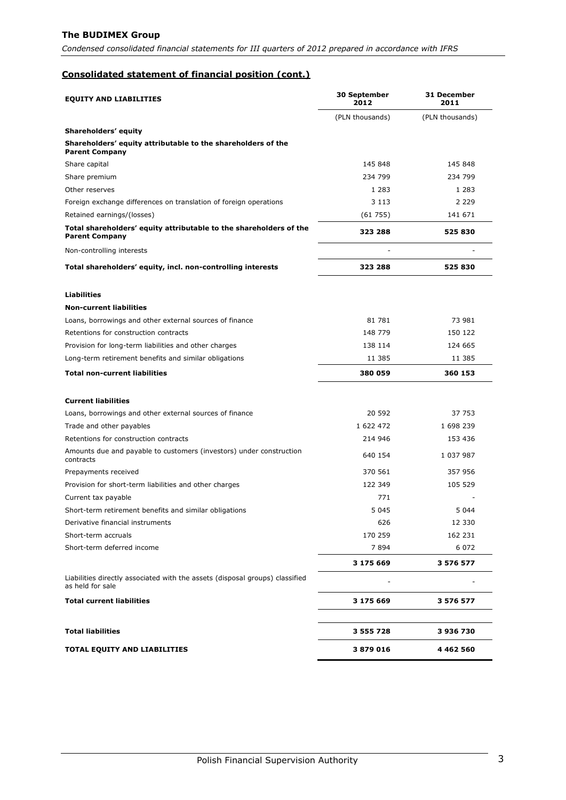## **The BUDIMEX Group**

*Condensed consolidated financial statements for III quarters of 2012 prepared in accordance with IFRS*

## **Consolidated statement of financial position (cont.)**

| <b>EQUITY AND LIABILITIES</b>                                                                    | 30 September<br>2012 | 31 December<br>2011 |
|--------------------------------------------------------------------------------------------------|----------------------|---------------------|
|                                                                                                  | (PLN thousands)      | (PLN thousands)     |
| Shareholders' equity                                                                             |                      |                     |
| Shareholders' equity attributable to the shareholders of the<br><b>Parent Company</b>            |                      |                     |
| Share capital                                                                                    | 145 848              | 145 848             |
| Share premium                                                                                    | 234 799              | 234 799             |
| Other reserves                                                                                   | 1 2 8 3              | 1 2 8 3             |
| Foreign exchange differences on translation of foreign operations                                | 3 1 1 3              | 2 2 2 9             |
| Retained earnings/(losses)                                                                       | (61755)              | 141 671             |
| Total shareholders' equity attributable to the shareholders of the<br><b>Parent Company</b>      | 323 288              | 525 830             |
| Non-controlling interests                                                                        |                      |                     |
| Total shareholders' equity, incl. non-controlling interests                                      | 323 288              | 525830              |
| <b>Liabilities</b>                                                                               |                      |                     |
| <b>Non-current liabilities</b>                                                                   |                      |                     |
| Loans, borrowings and other external sources of finance                                          | 81 781               | 73 981              |
| Retentions for construction contracts                                                            | 148 779              | 150 122             |
| Provision for long-term liabilities and other charges                                            | 138 114              | 124 665             |
| Long-term retirement benefits and similar obligations                                            | 11 385               | 11 385              |
| <b>Total non-current liabilities</b>                                                             | 380 059              | 360 153             |
| <b>Current liabilities</b>                                                                       |                      |                     |
| Loans, borrowings and other external sources of finance                                          | 20 592               | 37 753              |
| Trade and other payables                                                                         | 1 622 472            | 1 698 239           |
| Retentions for construction contracts                                                            | 214 946              | 153 436             |
| Amounts due and payable to customers (investors) under construction<br>contracts                 | 640 154              | 1 037 987           |
| Prepayments received                                                                             | 370 561              | 357 956             |
| Provision for short-term liabilities and other charges                                           | 122 349              | 105 529             |
| Current tax payable                                                                              | 771                  |                     |
| Short-term retirement benefits and similar obligations                                           | 5 0 4 5              | 5 0 4 4             |
| Derivative financial instruments                                                                 | 626                  | 12 330              |
| Short-term accruals                                                                              | 170 259              | 162 231             |
| Short-term deferred income                                                                       | 7894                 | 6 0 7 2             |
|                                                                                                  | 3 175 669            | 3 576 577           |
| Liabilities directly associated with the assets (disposal groups) classified<br>as held for sale |                      |                     |
| <b>Total current liabilities</b>                                                                 | 3 175 669            | 3 576 577           |
|                                                                                                  |                      |                     |
| <b>Total liabilities</b>                                                                         | 3 555 728            | 3936730             |
| <b>TOTAL EQUITY AND LIABILITIES</b>                                                              | 3879016              | 4 4 6 2 5 6 0       |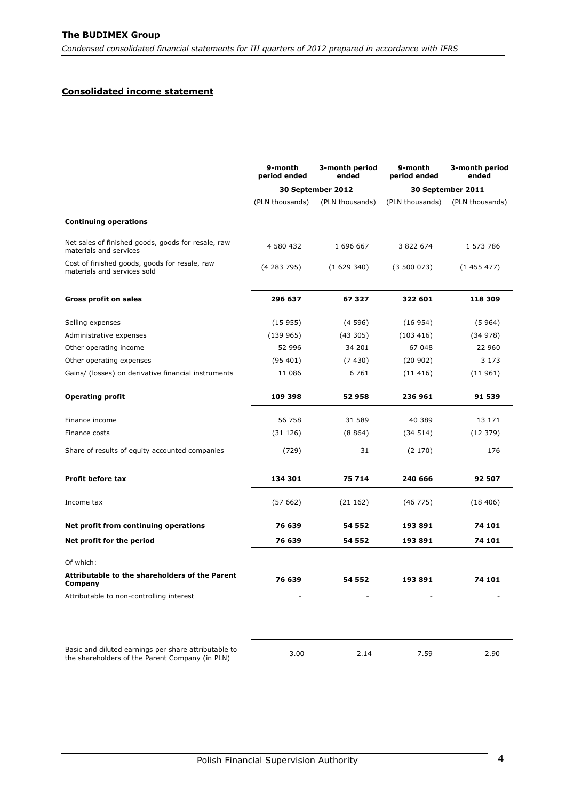## <span id="page-4-0"></span>**Consolidated income statement**

| 9-month<br>9-month<br>3-month period<br>3-month period<br>period ended<br>ended<br>period ended<br>ended |
|----------------------------------------------------------------------------------------------------------|
| 30 September 2012<br>30 September 2011                                                                   |
| (PLN thousands)<br>(PLN thousands)<br>(PLN thousands)<br>(PLN thousands)                                 |
|                                                                                                          |
| Net sales of finished goods, goods for resale, raw<br>4 580 432<br>1 696 667<br>3 822 674<br>1 573 786   |
| Cost of finished goods, goods for resale, raw<br>(4283795)<br>(1629340)<br>(3500073)<br>(1455477)        |
| 296 637<br>67 327<br>322 601<br>118 309                                                                  |
| (15955)<br>(4596)<br>(16954)<br>(5964)                                                                   |
| (139965)<br>(43305)<br>(103 416)<br>(34 978)                                                             |
| 34 201<br>52 996<br>67 048<br>22 960                                                                     |
| (95401)<br>(7430)<br>(20902)<br>3 1 7 3                                                                  |
| 6 7 6 1<br>Gains/ (losses) on derivative financial instruments<br>11 086<br>(11416)<br>(11 961)          |
| 236 961<br>109 398<br>52958<br>91 539                                                                    |
| 56 758<br>31 589<br>40 389<br>13 171                                                                     |
| (31126)<br>(8864)<br>(34 514)<br>(12379)                                                                 |
| 31<br>Share of results of equity accounted companies<br>(729)<br>(2170)<br>176                           |
| 134 301<br>75 714<br>240 666<br>92 507                                                                   |
| (57662)<br>(21162)<br>(46775)<br>(18406)                                                                 |
| Net profit from continuing operations<br>76 639<br>193891<br>74 101<br>54 552                            |
| 76 639<br>74 101<br>54 552<br>193891                                                                     |
|                                                                                                          |
| Attributable to the shareholders of the Parent<br>76 639<br>54 552<br>193891<br>74 101                   |
| Attributable to non-controlling interest<br>$\overline{\phantom{a}}$                                     |
| Basic and diluted earnings per share attributable to<br>3.00<br>2.14<br>7.59<br>2.90                     |
| the shareholders of the Parent Company (in PLN)                                                          |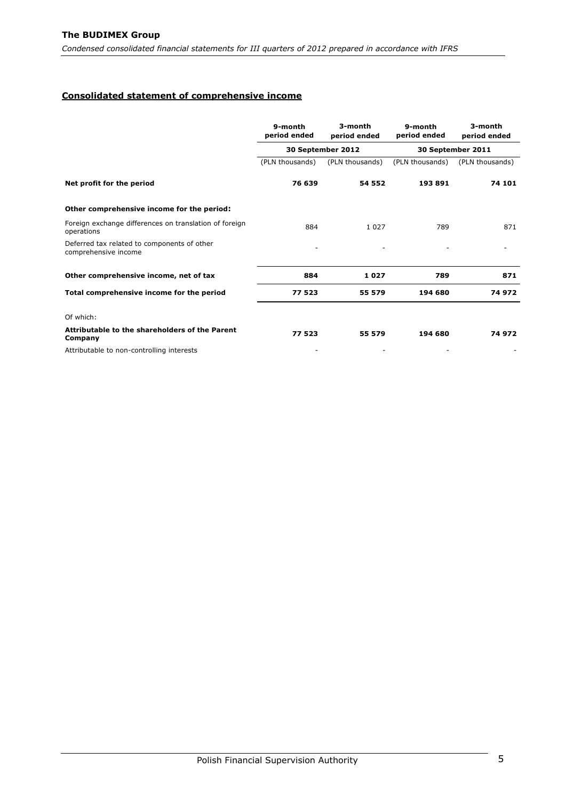### <span id="page-5-0"></span>**Consolidated statement of comprehensive income**

|                                                                      | 9-month<br>period ended | 3-month<br>period ended | 9-month<br>period ended | 3-month<br>period ended |
|----------------------------------------------------------------------|-------------------------|-------------------------|-------------------------|-------------------------|
|                                                                      |                         | 30 September 2012       |                         | 30 September 2011       |
|                                                                      | (PLN thousands)         | (PLN thousands)         | (PLN thousands)         | (PLN thousands)         |
| Net profit for the period                                            | 76 639                  | 54 552                  | 193891                  | 74 101                  |
| Other comprehensive income for the period:                           |                         |                         |                         |                         |
| Foreign exchange differences on translation of foreign<br>operations | 884                     | 1 0 2 7                 | 789                     | 871                     |
| Deferred tax related to components of other<br>comprehensive income  |                         |                         |                         |                         |
| Other comprehensive income, net of tax                               | 884                     | 1027                    | 789                     | 871                     |
| Total comprehensive income for the period                            | 77 523                  | 55 579                  | 194 680                 | 74 972                  |
| Of which:                                                            |                         |                         |                         |                         |
| Attributable to the shareholders of the Parent<br>Company            | 77523                   | 55 579                  | 194 680                 | 74 972                  |
| Attributable to non-controlling interests                            |                         |                         |                         |                         |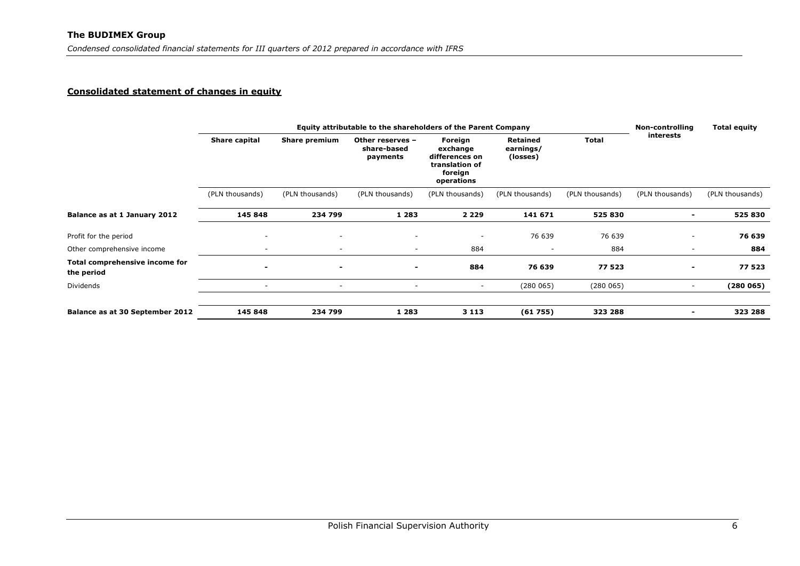## **Consolidated statement of changes in equity**

<span id="page-6-0"></span>

|                                              | Equity attributable to the shareholders of the Parent Company |                          |                                             |                                                                                  |                                   |                 |                          | <b>Total equity</b> |
|----------------------------------------------|---------------------------------------------------------------|--------------------------|---------------------------------------------|----------------------------------------------------------------------------------|-----------------------------------|-----------------|--------------------------|---------------------|
|                                              | Share capital                                                 | Share premium            | Other reserves -<br>share-based<br>payments | Foreign<br>exchange<br>differences on<br>translation of<br>foreign<br>operations | Retained<br>earnings/<br>(losses) | <b>Total</b>    | interests                |                     |
|                                              | (PLN thousands)                                               | (PLN thousands)          | (PLN thousands)                             | (PLN thousands)                                                                  | (PLN thousands)                   | (PLN thousands) | (PLN thousands)          | (PLN thousands)     |
| Balance as at 1 January 2012                 | 145 848                                                       | 234 799                  | 1 2 8 3                                     | 2 2 2 9                                                                          | 141 671                           | 525 830         |                          | 525 830             |
| Profit for the period                        | ٠                                                             | $\sim$                   | ۰                                           | $\overline{\phantom{a}}$                                                         | 76 639                            | 76 639          |                          | 76 639              |
| Other comprehensive income                   | $\overline{\phantom{a}}$                                      |                          | ۰                                           | 884                                                                              |                                   | 884             |                          | 884                 |
| Total comprehensive income for<br>the period | $\overline{\phantom{0}}$                                      | $\overline{\phantom{0}}$ | $\overline{\phantom{0}}$                    | 884                                                                              | 76 639                            | 77 523          | $\overline{\phantom{a}}$ | 77 523              |
| Dividends                                    | $\overline{\phantom{a}}$                                      | $\overline{\phantom{a}}$ | $\overline{\phantom{a}}$                    | $\sim$                                                                           | (280065)                          | (280065)        | $\sim$                   | (280065)            |
|                                              |                                                               |                          |                                             |                                                                                  |                                   |                 |                          |                     |
| Balance as at 30 September 2012              | 145 848                                                       | 234 799                  | 1 2 8 3                                     | 3 1 1 3                                                                          | (61755)                           | 323 288         |                          | 323 288             |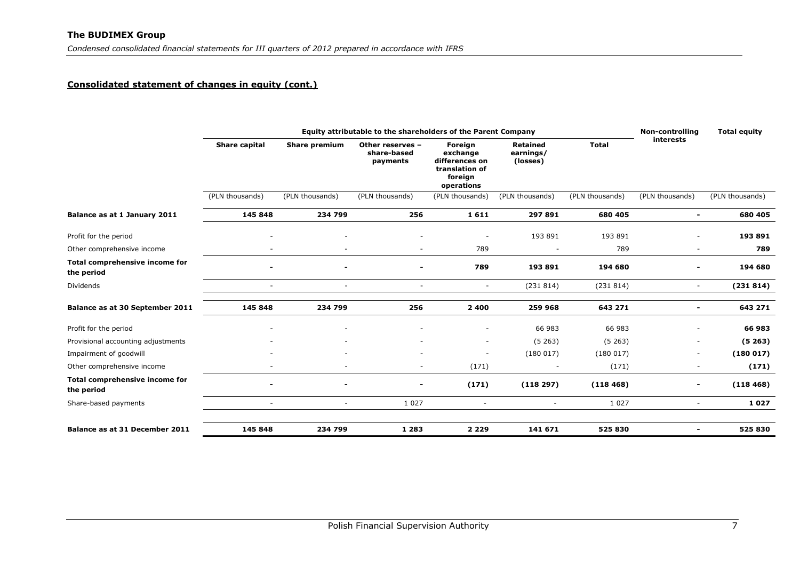## **Consolidated statement of changes in equity (cont.)**

|                                              | Equity attributable to the shareholders of the Parent Company<br><b>Non-controlling</b> |                          |                                             |                                                                                  |                                          |                 |                          | <b>Total equity</b> |
|----------------------------------------------|-----------------------------------------------------------------------------------------|--------------------------|---------------------------------------------|----------------------------------------------------------------------------------|------------------------------------------|-----------------|--------------------------|---------------------|
|                                              | Share capital                                                                           | Share premium            | Other reserves -<br>share-based<br>payments | Foreign<br>exchange<br>differences on<br>translation of<br>foreign<br>operations | <b>Retained</b><br>earnings/<br>(losses) | <b>Total</b>    | <b>interests</b>         |                     |
|                                              | (PLN thousands)                                                                         | (PLN thousands)          | (PLN thousands)                             | (PLN thousands)                                                                  | (PLN thousands)                          | (PLN thousands) | (PLN thousands)          | (PLN thousands)     |
| Balance as at 1 January 2011                 | 145 848                                                                                 | 234 799                  | 256                                         | 1611                                                                             | 297 891                                  | 680 405         | $\blacksquare$           | 680 405             |
| Profit for the period                        |                                                                                         |                          |                                             | ٠                                                                                | 193 891                                  | 193 891         |                          | 193 891             |
| Other comprehensive income                   |                                                                                         |                          |                                             | 789                                                                              | $\overline{\phantom{a}}$                 | 789             | $\sim$                   | 789                 |
| Total comprehensive income for<br>the period | $\overline{\phantom{0}}$                                                                |                          | $\blacksquare$                              | 789                                                                              | 193 891                                  | 194 680         | $\blacksquare$           | 194 680             |
| <b>Dividends</b>                             | $\sim$                                                                                  | $\overline{\phantom{a}}$ | $\overline{\phantom{a}}$                    | $\overline{\phantom{m}}$                                                         | (231 814)                                | (231814)        | $\sim$                   | (231814)            |
| Balance as at 30 September 2011              | 145 848                                                                                 | 234 799                  | 256                                         | 2 4 0 0                                                                          | 259 968                                  | 643 271         | $\blacksquare$           | 643 271             |
| Profit for the period                        |                                                                                         |                          |                                             |                                                                                  | 66 983                                   | 66 983          |                          | 66 983              |
| Provisional accounting adjustments           |                                                                                         |                          |                                             | $\overline{\phantom{m}}$                                                         | (5263)                                   | (5263)          | $\sim$                   | (5263)              |
| Impairment of goodwill                       |                                                                                         |                          |                                             | ٠                                                                                | (180017)                                 | (180017)        | $\sim$                   | (180017)            |
| Other comprehensive income                   |                                                                                         |                          | $\overline{\phantom{a}}$                    | (171)                                                                            | $\overline{\phantom{a}}$                 | (171)           |                          | (171)               |
| Total comprehensive income for<br>the period |                                                                                         |                          |                                             | (171)                                                                            | (118297)                                 | (118468)        |                          | (118468)            |
| Share-based payments                         | ÷                                                                                       | $\overline{\phantom{a}}$ | 1 0 2 7                                     | $\overline{\phantom{a}}$                                                         | $\overline{\phantom{0}}$                 | 1 0 2 7         | $\sim$                   | 1027                |
| Balance as at 31 December 2011               | 145 848                                                                                 | 234 799                  | 1 2 8 3                                     | 2 2 2 9                                                                          | 141 671                                  | 525 830         | $\overline{\phantom{a}}$ | 525 830             |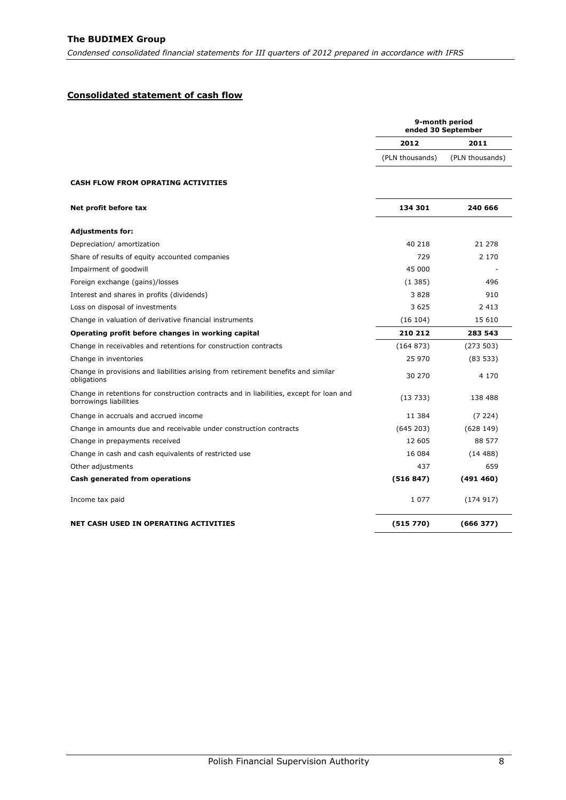## <span id="page-8-0"></span>**Consolidated statement of cash flow**

|                                                                                                                   | 9-month period<br>ended 30 September |                 |
|-------------------------------------------------------------------------------------------------------------------|--------------------------------------|-----------------|
|                                                                                                                   | 2012                                 | 2011            |
|                                                                                                                   | (PLN thousands)                      | (PLN thousands) |
| CASH FLOW FROM OPRATING ACTIVITIES                                                                                |                                      |                 |
| Net profit before tax                                                                                             | 134 301                              | 240 666         |
| Adjustments for:                                                                                                  |                                      |                 |
| Depreciation/ amortization                                                                                        | 40 218                               | 21 278          |
| Share of results of equity accounted companies                                                                    | 729                                  | 2 1 7 0         |
| Impairment of goodwill                                                                                            | 45 000                               |                 |
| Foreign exchange (gains)/losses                                                                                   | (1385)                               | 496             |
| Interest and shares in profits (dividends)                                                                        | 3828                                 | 910             |
| Loss on disposal of investments                                                                                   | 3625                                 | 2 4 1 3         |
| Change in valuation of derivative financial instruments                                                           | (16 104)                             | 15 610          |
| Operating profit before changes in working capital                                                                | 210 212                              | 283 543         |
| Change in receivables and retentions for construction contracts                                                   | (164 873)                            | (273503)        |
| Change in inventories                                                                                             | 25 970                               | (83533)         |
| Change in provisions and liabilities arising from retirement benefits and similar<br>obligations                  | 30 270                               | 4 1 7 0         |
| Change in retentions for construction contracts and in liabilities, except for loan and<br>borrowings liabilities | (13733)                              | 138 488         |
| Change in accruals and accrued income                                                                             | 11 384                               | (7224)          |
| Change in amounts due and receivable under construction contracts                                                 | (645203)                             | (628149)        |
| Change in prepayments received                                                                                    | 12 605                               | 88 577          |
| Change in cash and cash equivalents of restricted use                                                             | 16 084                               | (14488)         |
| Other adjustments                                                                                                 | 437                                  | 659             |
| Cash generated from operations                                                                                    | (516847)                             | (491460)        |
| Income tax paid                                                                                                   | 1 0 7 7                              | (174917)        |
| NET CASH USED IN OPERATING ACTIVITIES                                                                             | (515 770)                            | (666377)        |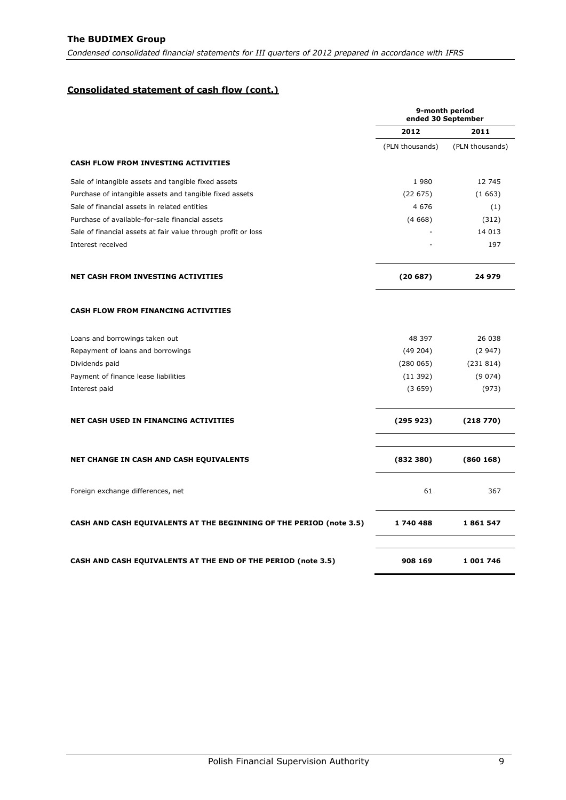## **Consolidated statement of cash flow (cont.)**

|                                                                            | 9-month period<br>ended 30 September |                 |  |
|----------------------------------------------------------------------------|--------------------------------------|-----------------|--|
|                                                                            | 2012                                 | 2011            |  |
|                                                                            | (PLN thousands)                      | (PLN thousands) |  |
| <b>CASH FLOW FROM INVESTING ACTIVITIES</b>                                 |                                      |                 |  |
| Sale of intangible assets and tangible fixed assets                        | 1980                                 | 12 745          |  |
| Purchase of intangible assets and tangible fixed assets                    | (22675)                              | (1663)          |  |
| Sale of financial assets in related entities                               | 4 6 7 6                              | (1)             |  |
| Purchase of available-for-sale financial assets                            | (4668)                               | (312)           |  |
| Sale of financial assets at fair value through profit or loss              |                                      | 14 0 13         |  |
| Interest received                                                          |                                      | 197             |  |
| NET CASH FROM INVESTING ACTIVITIES                                         | (20687)                              | 24 979          |  |
| <b>CASH FLOW FROM FINANCING ACTIVITIES</b>                                 |                                      |                 |  |
| Loans and borrowings taken out                                             | 48 397                               | 26 038          |  |
| Repayment of loans and borrowings                                          | (49204)                              | (2947)          |  |
| Dividends paid                                                             | (280065)                             | (231814)        |  |
| Payment of finance lease liabilities                                       | (11392)                              | (9074)          |  |
| Interest paid                                                              | (3659)                               | (973)           |  |
| <b>NET CASH USED IN FINANCING ACTIVITIES</b>                               | (295923)                             | (218770)        |  |
| NET CHANGE IN CASH AND CASH EQUIVALENTS                                    | (832 380)                            | (860168)        |  |
| Foreign exchange differences, net                                          | 61                                   | 367             |  |
| <b>CASH AND CASH EQUIVALENTS AT THE BEGINNING OF THE PERIOD (note 3.5)</b> | 1740488                              | 1861547         |  |
| <b>CASH AND CASH EQUIVALENTS AT THE END OF THE PERIOD (note 3.5)</b>       | 908 169                              | 1 001 746       |  |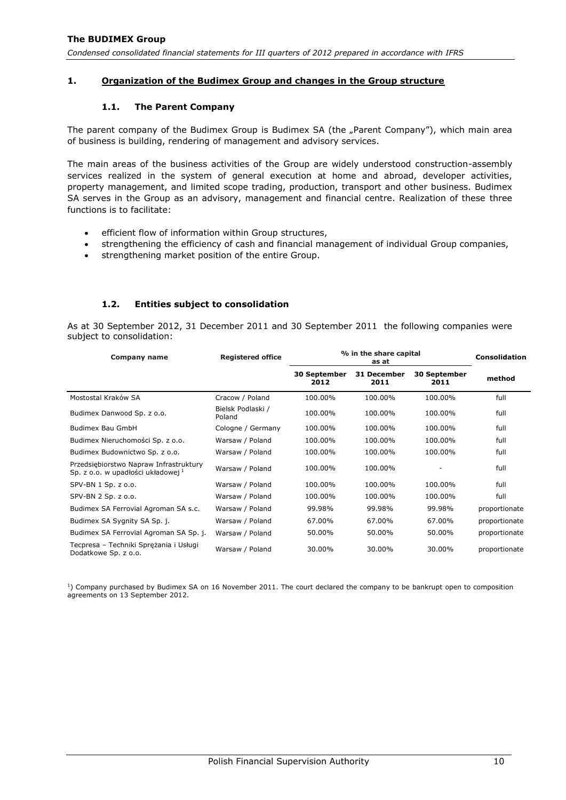## <span id="page-10-1"></span><span id="page-10-0"></span>**1. Organization of the Budimex Group and changes in the Group structure**

## **1.1. The Parent Company**

The parent company of the Budimex Group is Budimex SA (the "Parent Company"), which main area of business is building, rendering of management and advisory services.

The main areas of the business activities of the Group are widely understood construction-assembly services realized in the system of general execution at home and abroad, developer activities, property management, and limited scope trading, production, transport and other business. Budimex SA serves in the Group as an advisory, management and financial centre. Realization of these three functions is to facilitate:

- efficient flow of information within Group structures,
- strengthening the efficiency of cash and financial management of individual Group companies,
- strengthening market position of the entire Group.

## **1.2. Entities subject to consolidation**

<span id="page-10-2"></span>As at 30 September 2012, 31 December 2011 and 30 September 2011 the following companies were subject to consolidation:

| Company name                                                                            | <b>Registered office</b>    | % in the share capital<br>as at |                     |                      | Consolidation |
|-----------------------------------------------------------------------------------------|-----------------------------|---------------------------------|---------------------|----------------------|---------------|
|                                                                                         |                             | <b>30 September</b><br>2012     | 31 December<br>2011 | 30 September<br>2011 | method        |
| Mostostal Kraków SA                                                                     | Cracow / Poland             | 100.00%                         | 100.00%             | 100.00%              | full          |
| Budimex Danwood Sp. z o.o.                                                              | Bielsk Podlaski /<br>Poland | 100.00%                         | 100.00%             | 100.00%              | full          |
| Budimex Bau GmbH                                                                        | Cologne / Germany           | 100.00%                         | 100.00%             | 100.00%              | full          |
| Budimex Nieruchomości Sp. z o.o.                                                        | Warsaw / Poland             | 100.00%                         | 100.00%             | 100.00%              | full          |
| Budimex Budownictwo Sp. z o.o.                                                          | Warsaw / Poland             | 100.00%                         | 100.00%             | 100.00%              | full          |
| Przedsiębiorstwo Napraw Infrastruktury<br>Sp. z o.o. w upadłości układowej <sup>1</sup> | Warsaw / Poland             | 100.00%                         | 100.00%             |                      | full          |
| SPV-BN 1 Sp. z o.o.                                                                     | Warsaw / Poland             | 100.00%                         | 100.00%             | 100.00%              | full          |
| SPV-BN 2 Sp. z o.o.                                                                     | Warsaw / Poland             | 100.00%                         | 100.00%             | 100.00%              | full          |
| Budimex SA Ferrovial Agroman SA s.c.                                                    | Warsaw / Poland             | 99.98%                          | 99.98%              | 99.98%               | proportionate |
| Budimex SA Sygnity SA Sp. j.                                                            | Warsaw / Poland             | 67.00%                          | 67.00%              | 67.00%               | proportionate |
| Budimex SA Ferrovial Agroman SA Sp. j.                                                  | Warsaw / Poland             | 50.00%                          | 50.00%              | 50.00%               | proportionate |
| Tecpresa - Techniki Sprężania i Usługi<br>Dodatkowe Sp. z o.o.                          | Warsaw / Poland             | 30.00%                          | 30.00%              | 30.00%               | proportionate |

<sup>1</sup>) Company purchased by Budimex SA on 16 November 2011. The court declared the company to be bankrupt open to composition agreements on 13 September 2012.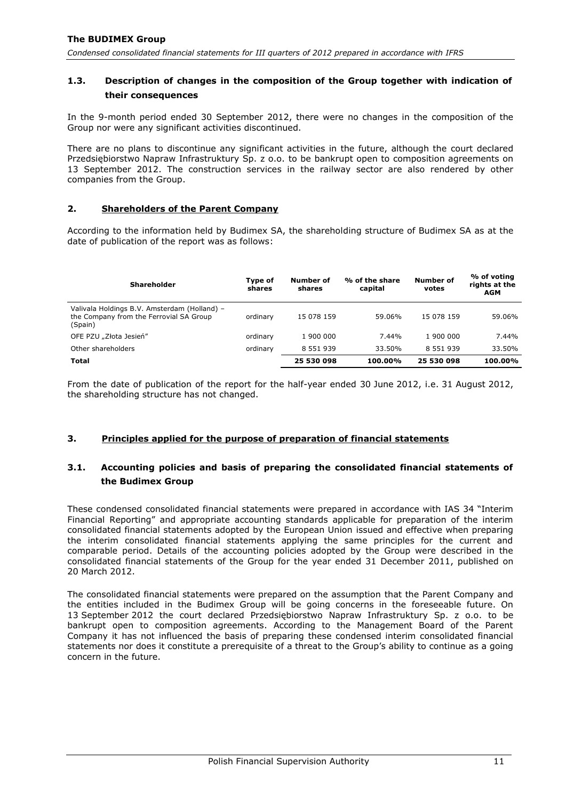## <span id="page-11-0"></span>**1.3. Description of changes in the composition of the Group together with indication of their consequences**

In the 9-month period ended 30 September 2012, there were no changes in the composition of the Group nor were any significant activities discontinued.

There are no plans to discontinue any significant activities in the future, although the court declared Przedsiębiorstwo Napraw Infrastruktury Sp. z o.o. to be bankrupt open to composition agreements on 13 September 2012. The construction services in the railway sector are also rendered by other companies from the Group.

## <span id="page-11-1"></span>**2. Shareholders of the Parent Company**

According to the information held by Budimex SA, the shareholding structure of Budimex SA as at the date of publication of the report was as follows:

| <b>Shareholder</b>                                                                                 | Type of<br>shares | Number of<br>shares | % of the share<br>capital | Number of<br>votes | % of voting<br>rights at the<br><b>AGM</b> |
|----------------------------------------------------------------------------------------------------|-------------------|---------------------|---------------------------|--------------------|--------------------------------------------|
| Valivala Holdings B.V. Amsterdam (Holland) -<br>the Company from the Ferrovial SA Group<br>(Spain) | ordinary          | 15 078 159          | 59.06%                    | 15 078 159         | 59.06%                                     |
| OFE PZU "Złota Jesień"                                                                             | ordinary          | 1 900 000           | 7.44%                     | 1 900 000          | 7.44%                                      |
| Other shareholders                                                                                 | ordinary          | 8 551 939           | 33.50%                    | 8 5 5 1 9 3 9      | 33.50%                                     |
| <b>Total</b>                                                                                       |                   | 25 530 098          | 100.00%                   | 25 530 098         | 100.00%                                    |

From the date of publication of the report for the half-year ended 30 June 2012, i.e. 31 August 2012, the shareholding structure has not changed.

## <span id="page-11-2"></span>**3. Principles applied for the purpose of preparation of financial statements**

## <span id="page-11-3"></span>**3.1. Accounting policies and basis of preparing the consolidated financial statements of the Budimex Group**

These condensed consolidated financial statements were prepared in accordance with IAS 34 "Interim Financial Reporting" and appropriate accounting standards applicable for preparation of the interim consolidated financial statements adopted by the European Union issued and effective when preparing the interim consolidated financial statements applying the same principles for the current and comparable period. Details of the accounting policies adopted by the Group were described in the consolidated financial statements of the Group for the year ended 31 December 2011, published on 20 March 2012.

The consolidated financial statements were prepared on the assumption that the Parent Company and the entities included in the Budimex Group will be going concerns in the foreseeable future. On 13 September 2012 the court declared Przedsiębiorstwo Napraw Infrastruktury Sp. z o.o. to be bankrupt open to composition agreements. According to the Management Board of the Parent Company it has not influenced the basis of preparing these condensed interim consolidated financial statements nor does it constitute a prerequisite of a threat to the Group's ability to continue as a going concern in the future.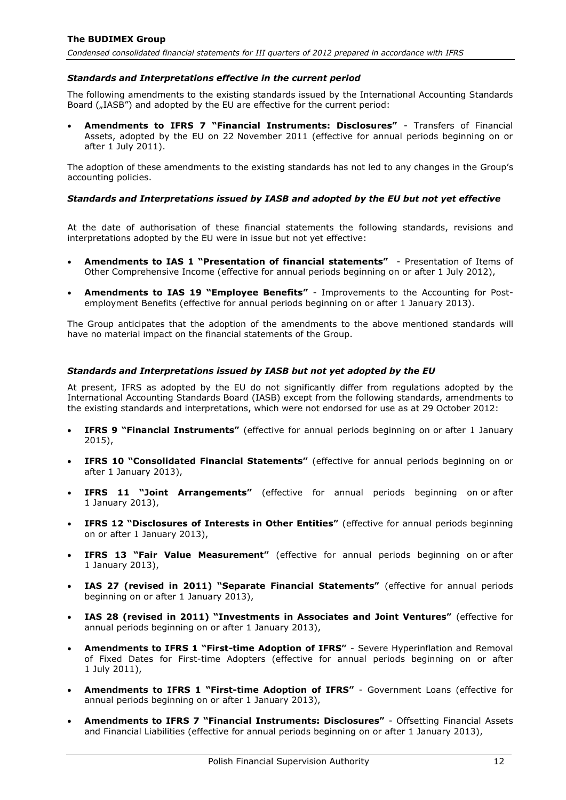## *Standards and Interpretations effective in the current period*

The following amendments to the existing standards issued by the International Accounting Standards Board ("IASB") and adopted by the EU are effective for the current period:

 **Amendments to IFRS 7 "Financial Instruments: Disclosures"** - Transfers of Financial Assets, adopted by the EU on 22 November 2011 (effective for annual periods beginning on or after 1 July 2011).

The adoption of these amendments to the existing standards has not led to any changes in the Group's accounting policies.

## *Standards and Interpretations issued by IASB and adopted by the EU but not yet effective*

At the date of authorisation of these financial statements the following standards, revisions and interpretations adopted by the EU were in issue but not yet effective:

- **Amendments to IAS 1 "Presentation of financial statements"** Presentation of Items of Other Comprehensive Income (effective for annual periods beginning on or after 1 July 2012),
- **Amendments to IAS 19 "Employee Benefits"** Improvements to the Accounting for Postemployment Benefits (effective for annual periods beginning on or after 1 January 2013).

The Group anticipates that the adoption of the amendments to the above mentioned standards will have no material impact on the financial statements of the Group.

#### *Standards and Interpretations issued by IASB but not yet adopted by the EU*

At present, IFRS as adopted by the EU do not significantly differ from regulations adopted by the International Accounting Standards Board (IASB) except from the following standards, amendments to the existing standards and interpretations, which were not endorsed for use as at 29 October 2012:

- **IFRS 9 "Financial Instruments"** (effective for annual periods beginning on or after 1 January 2015),
- **IFRS 10 "Consolidated Financial Statements"** (effective for annual periods beginning on or after 1 January 2013),
- **IFRS 11 "Joint Arrangements"** (effective for annual periods beginning on or after 1 January 2013),
- **IFRS 12 "Disclosures of Interests in Other Entities"** (effective for annual periods beginning on or after 1 January 2013),
- **IFRS 13 "Fair Value Measurement"** (effective for annual periods beginning on or after 1 January 2013),
- **IAS 27 (revised in 2011) "Separate Financial Statements"** (effective for annual periods beginning on or after 1 January 2013),
- **IAS 28 (revised in 2011) "Investments in Associates and Joint Ventures"** (effective for annual periods beginning on or after 1 January 2013),
- **Amendments to IFRS 1 "First-time Adoption of IFRS"** Severe Hyperinflation and Removal of Fixed Dates for First-time Adopters (effective for annual periods beginning on or after 1 July 2011),
- **Amendments to IFRS 1 "First-time Adoption of IFRS"** Government Loans (effective for annual periods beginning on or after 1 January 2013),
- **Amendments to IFRS 7 "Financial Instruments: Disclosures"** Offsetting Financial Assets and Financial Liabilities (effective for annual periods beginning on or after 1 January 2013),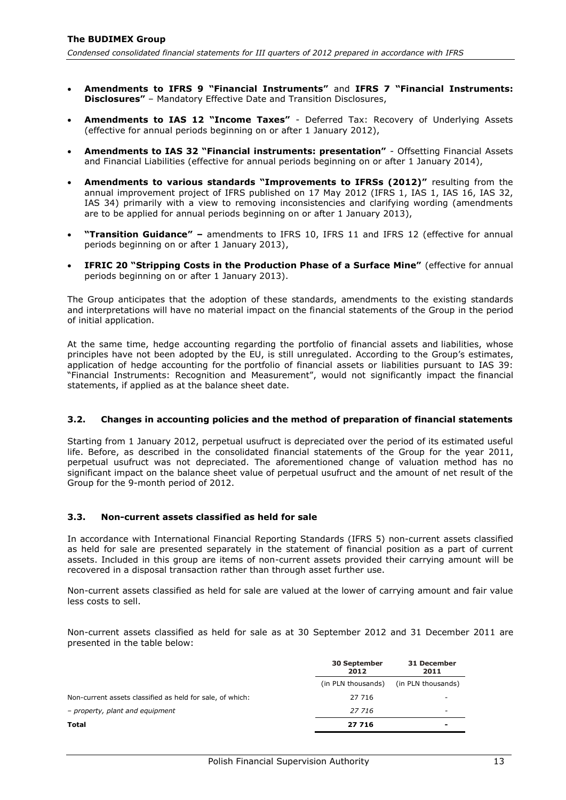- **Amendments to IFRS 9 "Financial Instruments"** and **IFRS 7 "Financial Instruments: Disclosures"** – Mandatory Effective Date and Transition Disclosures,
- **Amendments to IAS 12 "Income Taxes"** Deferred Tax: Recovery of Underlying Assets (effective for annual periods beginning on or after 1 January 2012),
- **Amendments to IAS 32 "Financial instruments: presentation"** Offsetting Financial Assets and Financial Liabilities (effective for annual periods beginning on or after 1 January 2014),
- **Amendments to various standards "Improvements to IFRSs (2012)"** resulting from the annual improvement project of IFRS published on 17 May 2012 (IFRS 1, IAS 1, IAS 16, IAS 32, IAS 34) primarily with a view to removing inconsistencies and clarifying wording (amendments are to be applied for annual periods beginning on or after 1 January 2013),
- **"Transition Guidance" –** amendments to IFRS 10, IFRS 11 and IFRS 12 (effective for annual periods beginning on or after 1 January 2013),
- **IFRIC 20 "Stripping Costs in the Production Phase of a Surface Mine"** (effective for annual periods beginning on or after 1 January 2013).

The Group anticipates that the adoption of these standards, amendments to the existing standards and interpretations will have no material impact on the financial statements of the Group in the period of initial application.

At the same time, hedge accounting regarding the portfolio of financial assets and liabilities, whose principles have not been adopted by the EU, is still unregulated. According to the Group's estimates, application of hedge accounting for the portfolio of financial assets or liabilities pursuant to IAS 39: "Financial Instruments: Recognition and Measurement", would not significantly impact the financial statements, if applied as at the balance sheet date.

#### <span id="page-13-0"></span>**3.2. Changes in accounting policies and the method of preparation of financial statements**

Starting from 1 January 2012, perpetual usufruct is depreciated over the period of its estimated useful life. Before, as described in the consolidated financial statements of the Group for the year 2011, perpetual usufruct was not depreciated. The aforementioned change of valuation method has no significant impact on the balance sheet value of perpetual usufruct and the amount of net result of the Group for the 9-month period of 2012.

#### <span id="page-13-1"></span>**3.3. Non-current assets classified as held for sale**

In accordance with International Financial Reporting Standards (IFRS 5) non-current assets classified as held for sale are presented separately in the statement of financial position as a part of current assets. Included in this group are items of non-current assets provided their carrying amount will be recovered in a disposal transaction rather than through asset further use.

Non-current assets classified as held for sale are valued at the lower of carrying amount and fair value less costs to sell.

Non-current assets classified as held for sale as at 30 September 2012 and 31 December 2011 are presented in the table below:

|                                                           | <b>30 September</b><br>2012 | 31 December<br>2011      |
|-----------------------------------------------------------|-----------------------------|--------------------------|
|                                                           | (in PLN thousands)          | (in PLN thousands)       |
| Non-current assets classified as held for sale, of which: | 27 716                      | -                        |
| - property, plant and equipment                           | 27 716                      | $\overline{\phantom{a}}$ |
| Total                                                     | 27 716                      | $\qquad \qquad$          |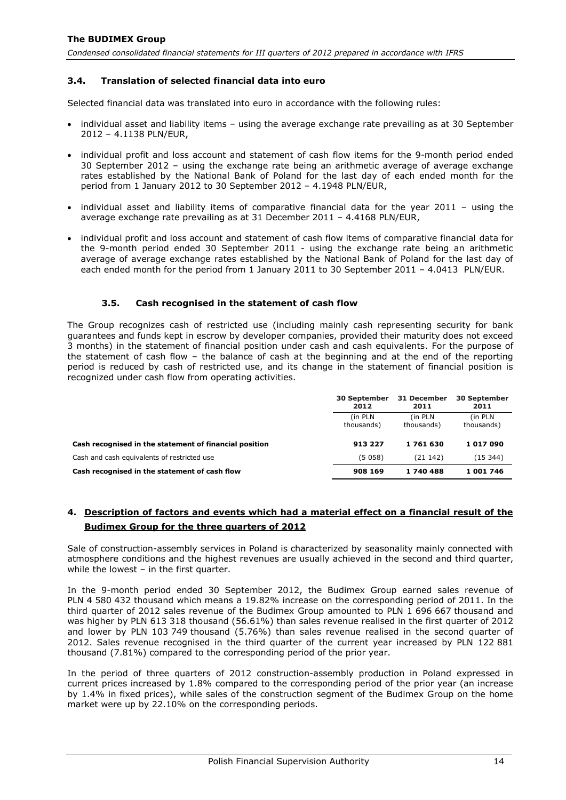## <span id="page-14-0"></span>**3.4. Translation of selected financial data into euro**

Selected financial data was translated into euro in accordance with the following rules:

- individual asset and liability items using the average exchange rate prevailing as at 30 September 2012 – 4.1138 PLN/EUR,
- individual profit and loss account and statement of cash flow items for the 9-month period ended 30 September 2012 – using the exchange rate being an arithmetic average of average exchange rates established by the National Bank of Poland for the last day of each ended month for the period from 1 January 2012 to 30 September 2012 – 4.1948 PLN/EUR,
- individual asset and liability items of comparative financial data for the year 2011 using the average exchange rate prevailing as at 31 December 2011 – 4.4168 PLN/EUR,
- individual profit and loss account and statement of cash flow items of comparative financial data for the 9-month period ended 30 September 2011 - using the exchange rate being an arithmetic average of average exchange rates established by the National Bank of Poland for the last day of each ended month for the period from 1 January 2011 to 30 September 2011 – 4.0413 PLN/EUR.

#### **3.5. Cash recognised in the statement of cash flow**

<span id="page-14-1"></span>The Group recognizes cash of restricted use (including mainly cash representing security for bank guarantees and funds kept in escrow by developer companies, provided their maturity does not exceed 3 months) in the statement of financial position under cash and cash equivalents. For the purpose of the statement of cash flow – the balance of cash at the beginning and at the end of the reporting period is reduced by cash of restricted use, and its change in the statement of financial position is recognized under cash flow from operating activities.

|                                                        | <b>30 September</b><br>2012 | 31 December<br>2011    | <b>30 September</b><br>2011 |
|--------------------------------------------------------|-----------------------------|------------------------|-----------------------------|
|                                                        | (in PLN)<br>thousands)      | (in PLN)<br>thousands) | (in PLN)<br>thousands)      |
| Cash recognised in the statement of financial position | 913 227                     | 1761630                | 1017090                     |
| Cash and cash equivalents of restricted use            | (5058)                      | (21142)                | (15344)                     |
| Cash recognised in the statement of cash flow          | 908 169                     | 1740488                | 1 001 746                   |

## <span id="page-14-2"></span>**4. Description of factors and events which had a material effect on a financial result of the Budimex Group for the three quarters of 2012**

Sale of construction-assembly services in Poland is characterized by seasonality mainly connected with atmosphere conditions and the highest revenues are usually achieved in the second and third quarter, while the lowest – in the first quarter.

In the 9-month period ended 30 September 2012, the Budimex Group earned sales revenue of PLN 4 580 432 thousand which means a 19.82% increase on the corresponding period of 2011. In the third quarter of 2012 sales revenue of the Budimex Group amounted to PLN 1 696 667 thousand and was higher by PLN 613 318 thousand (56.61%) than sales revenue realised in the first quarter of 2012 and lower by PLN 103 749 thousand (5.76%) than sales revenue realised in the second quarter of 2012. Sales revenue recognised in the third quarter of the current year increased by PLN 122 881 thousand (7.81%) compared to the corresponding period of the prior year.

In the period of three quarters of 2012 construction-assembly production in Poland expressed in current prices increased by 1.8% compared to the corresponding period of the prior year (an increase by 1.4% in fixed prices), while sales of the construction segment of the Budimex Group on the home market were up by 22.10% on the corresponding periods.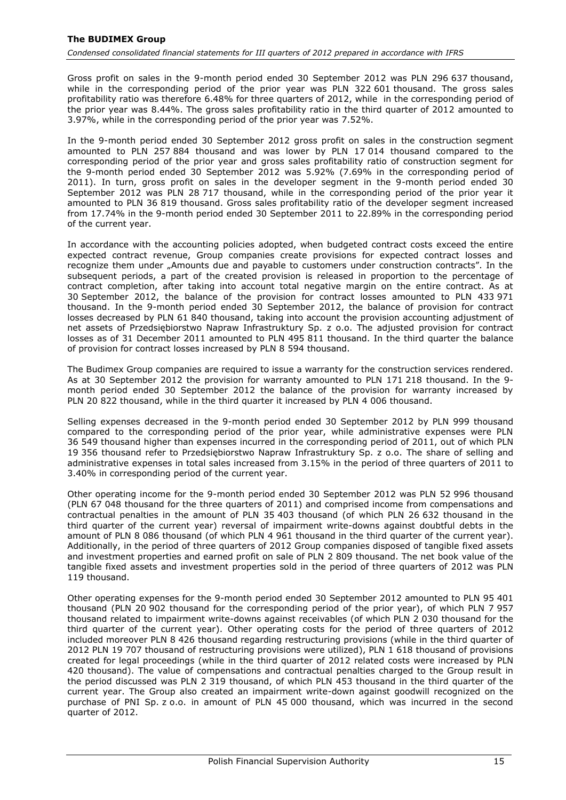Gross profit on sales in the 9-month period ended 30 September 2012 was PLN 296 637 thousand, while in the corresponding period of the prior year was PLN 322 601 thousand. The gross sales profitability ratio was therefore 6.48% for three quarters of 2012, while in the corresponding period of the prior year was 8.44%. The gross sales profitability ratio in the third quarter of 2012 amounted to 3.97%, while in the corresponding period of the prior year was 7.52%.

In the 9-month period ended 30 September 2012 gross profit on sales in the construction segment amounted to PLN 257 884 thousand and was lower by PLN 17 014 thousand compared to the corresponding period of the prior year and gross sales profitability ratio of construction segment for the 9-month period ended 30 September 2012 was 5.92% (7.69% in the corresponding period of 2011). In turn, gross profit on sales in the developer segment in the 9-month period ended 30 September 2012 was PLN 28 717 thousand, while in the corresponding period of the prior year it amounted to PLN 36 819 thousand. Gross sales profitability ratio of the developer segment increased from 17.74% in the 9-month period ended 30 September 2011 to 22.89% in the corresponding period of the current year.

In accordance with the accounting policies adopted, when budgeted contract costs exceed the entire expected contract revenue, Group companies create provisions for expected contract losses and recognize them under "Amounts due and payable to customers under construction contracts". In the subsequent periods, a part of the created provision is released in proportion to the percentage of contract completion, after taking into account total negative margin on the entire contract. As at 30 September 2012, the balance of the provision for contract losses amounted to PLN 433 971 thousand. In the 9-month period ended 30 September 2012, the balance of provision for contract losses decreased by PLN 61 840 thousand, taking into account the provision accounting adjustment of net assets of Przedsiębiorstwo Napraw Infrastruktury Sp. z o.o. The adjusted provision for contract losses as of 31 December 2011 amounted to PLN 495 811 thousand. In the third quarter the balance of provision for contract losses increased by PLN 8 594 thousand.

The Budimex Group companies are required to issue a warranty for the construction services rendered. As at 30 September 2012 the provision for warranty amounted to PLN 171 218 thousand. In the 9 month period ended 30 September 2012 the balance of the provision for warranty increased by PLN 20 822 thousand, while in the third quarter it increased by PLN 4 006 thousand.

Selling expenses decreased in the 9-month period ended 30 September 2012 by PLN 999 thousand compared to the corresponding period of the prior year, while administrative expenses were PLN 36 549 thousand higher than expenses incurred in the corresponding period of 2011, out of which PLN 19 356 thousand refer to Przedsiębiorstwo Napraw Infrastruktury Sp. z o.o. The share of selling and administrative expenses in total sales increased from 3.15% in the period of three quarters of 2011 to 3.40% in corresponding period of the current year.

Other operating income for the 9-month period ended 30 September 2012 was PLN 52 996 thousand (PLN 67 048 thousand for the three quarters of 2011) and comprised income from compensations and contractual penalties in the amount of PLN 35 403 thousand (of which PLN 26 632 thousand in the third quarter of the current year) reversal of impairment write-downs against doubtful debts in the amount of PLN 8 086 thousand (of which PLN 4 961 thousand in the third quarter of the current year). Additionally, in the period of three quarters of 2012 Group companies disposed of tangible fixed assets and investment properties and earned profit on sale of PLN 2 809 thousand. The net book value of the tangible fixed assets and investment properties sold in the period of three quarters of 2012 was PLN 119 thousand.

Other operating expenses for the 9-month period ended 30 September 2012 amounted to PLN 95 401 thousand (PLN 20 902 thousand for the corresponding period of the prior year), of which PLN 7 957 thousand related to impairment write-downs against receivables (of which PLN 2 030 thousand for the third quarter of the current year). Other operating costs for the period of three quarters of 2012 included moreover PLN 8 426 thousand regarding restructuring provisions (while in the third quarter of 2012 PLN 19 707 thousand of restructuring provisions were utilized), PLN 1 618 thousand of provisions created for legal proceedings (while in the third quarter of 2012 related costs were increased by PLN 420 thousand). The value of compensations and contractual penalties charged to the Group result in the period discussed was PLN 2 319 thousand, of which PLN 453 thousand in the third quarter of the current year. The Group also created an impairment write-down against goodwill recognized on the purchase of PNI Sp. z o.o. in amount of PLN 45 000 thousand, which was incurred in the second quarter of 2012.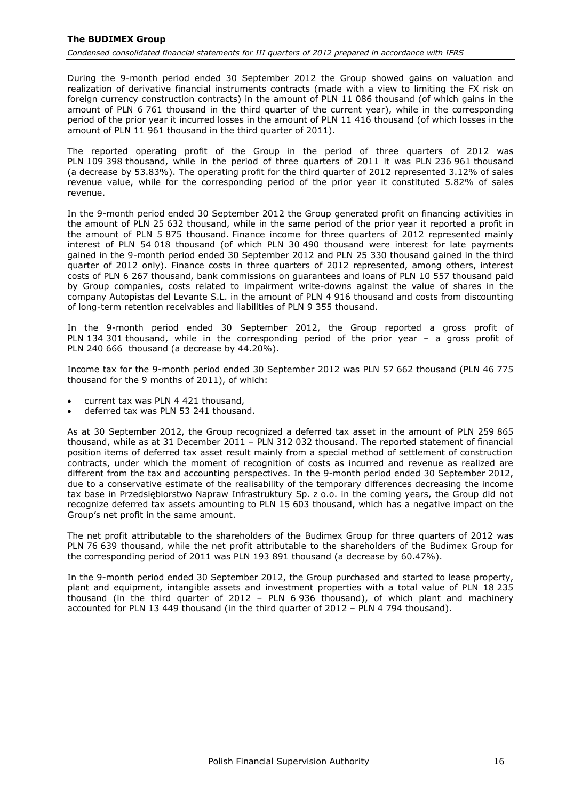During the 9-month period ended 30 September 2012 the Group showed gains on valuation and realization of derivative financial instruments contracts (made with a view to limiting the FX risk on foreign currency construction contracts) in the amount of PLN 11 086 thousand (of which gains in the amount of PLN 6 761 thousand in the third quarter of the current year), while in the corresponding period of the prior year it incurred losses in the amount of PLN 11 416 thousand (of which losses in the amount of PLN 11 961 thousand in the third quarter of 2011).

The reported operating profit of the Group in the period of three quarters of 2012 was PLN 109 398 thousand, while in the period of three quarters of 2011 it was PLN 236 961 thousand (a decrease by 53.83%). The operating profit for the third quarter of 2012 represented 3.12% of sales revenue value, while for the corresponding period of the prior year it constituted 5.82% of sales revenue.

In the 9-month period ended 30 September 2012 the Group generated profit on financing activities in the amount of PLN 25 632 thousand, while in the same period of the prior year it reported a profit in the amount of PLN 5 875 thousand. Finance income for three quarters of 2012 represented mainly interest of PLN 54 018 thousand (of which PLN 30 490 thousand were interest for late payments gained in the 9-month period ended 30 September 2012 and PLN 25 330 thousand gained in the third quarter of 2012 only). Finance costs in three quarters of 2012 represented, among others, interest costs of PLN 6 267 thousand, bank commissions on guarantees and loans of PLN 10 557 thousand paid by Group companies, costs related to impairment write-downs against the value of shares in the company Autopistas del Levante S.L. in the amount of PLN 4 916 thousand and costs from discounting of long-term retention receivables and liabilities of PLN 9 355 thousand.

In the 9-month period ended 30 September 2012, the Group reported a gross profit of PLN 134 301 thousand, while in the corresponding period of the prior year – a gross profit of PLN 240 666 thousand (a decrease by 44.20%).

Income tax for the 9-month period ended 30 September 2012 was PLN 57 662 thousand (PLN 46 775 thousand for the 9 months of 2011), of which:

- current tax was PLN 4 421 thousand,
- deferred tax was PLN 53 241 thousand.

As at 30 September 2012, the Group recognized a deferred tax asset in the amount of PLN 259 865 thousand, while as at 31 December 2011 – PLN 312 032 thousand. The reported statement of financial position items of deferred tax asset result mainly from a special method of settlement of construction contracts, under which the moment of recognition of costs as incurred and revenue as realized are different from the tax and accounting perspectives. In the 9-month period ended 30 September 2012, due to a conservative estimate of the realisability of the temporary differences decreasing the income tax base in Przedsiębiorstwo Napraw Infrastruktury Sp. z o.o. in the coming years, the Group did not recognize deferred tax assets amounting to PLN 15 603 thousand, which has a negative impact on the Group's net profit in the same amount.

The net profit attributable to the shareholders of the Budimex Group for three quarters of 2012 was PLN 76 639 thousand, while the net profit attributable to the shareholders of the Budimex Group for the corresponding period of 2011 was PLN 193 891 thousand (a decrease by 60.47%).

In the 9-month period ended 30 September 2012, the Group purchased and started to lease property, plant and equipment, intangible assets and investment properties with a total value of PLN 18 235 thousand (in the third quarter of 2012 – PLN 6 936 thousand), of which plant and machinery accounted for PLN 13 449 thousand (in the third quarter of 2012 – PLN 4 794 thousand).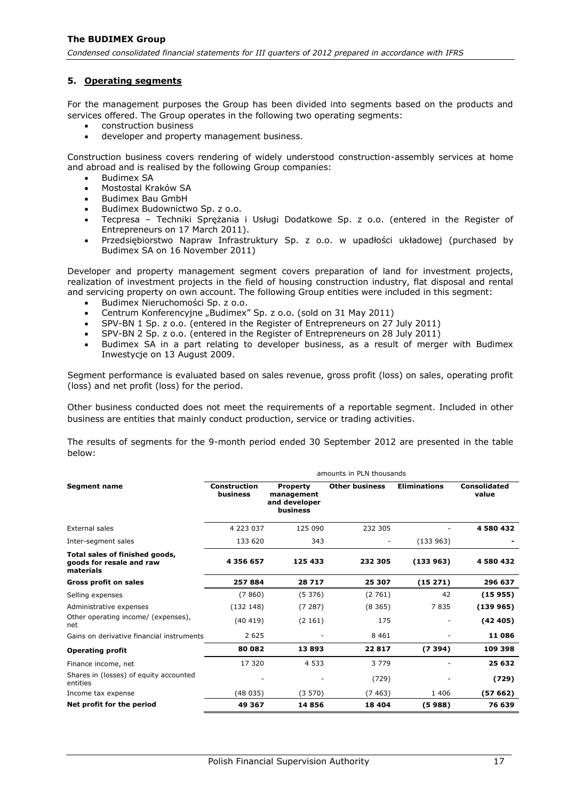## <span id="page-17-0"></span>**5. Operating segments**

For the management purposes the Group has been divided into segments based on the products and services offered. The Group operates in the following two operating segments:

- construction business
- developer and property management business.

Construction business covers rendering of widely understood construction-assembly services at home and abroad and is realised by the following Group companies:

- Budimex SA
- Mostostal Kraków SA
- Budimex Bau GmbH
- Budimex Budownictwo Sp. z o.o.
- Tecpresa Techniki Sprężania i Usługi Dodatkowe Sp. z o.o. (entered in the Register of Entrepreneurs on 17 March 2011).
- Przedsiębiorstwo Napraw Infrastruktury Sp. z o.o. w upadłości układowej (purchased by Budimex SA on 16 November 2011)

Developer and property management segment covers preparation of land for investment projects, realization of investment projects in the field of housing construction industry, flat disposal and rental and servicing property on own account. The following Group entities were included in this segment:

- Budimex Nieruchomości Sp. z o.o.
- Centrum Konferencyjne "Budimex" Sp. z o.o. (sold on 31 May 2011)
- SPV-BN 1 Sp. z o.o. (entered in the Register of Entrepreneurs on 27 July 2011)
- SPV-BN 2 Sp. z o.o. (entered in the Register of Entrepreneurs on 28 July 2011)
- Budimex SA in a part relating to developer business, as a result of merger with Budimex Inwestycje on 13 August 2009.

Segment performance is evaluated based on sales revenue, gross profit (loss) on sales, operating profit (loss) and net profit (loss) for the period.

Other business conducted does not meet the requirements of a reportable segment. Included in other business are entities that mainly conduct production, service or trading activities.

The results of segments for the 9-month period ended 30 September 2012 are presented in the table below:

|                                                                         | amounts in PLN thousands        |                                                            |                       |                     |                              |  |  |
|-------------------------------------------------------------------------|---------------------------------|------------------------------------------------------------|-----------------------|---------------------|------------------------------|--|--|
| <b>Segment name</b>                                                     | <b>Construction</b><br>business | <b>Property</b><br>management<br>and developer<br>business | <b>Other business</b> | <b>Eliminations</b> | <b>Consolidated</b><br>value |  |  |
| External sales                                                          | 4 223 037                       | 125 090                                                    | 232 305               |                     | 4580432                      |  |  |
| Inter-segment sales                                                     | 133 620                         | 343                                                        |                       | (133963)            |                              |  |  |
| Total sales of finished goods,<br>goods for resale and raw<br>materials | 4 356 657                       | 125 433                                                    | 232 305               | (133963)            | 4580432                      |  |  |
| Gross profit on sales                                                   | 257884                          | 28717                                                      | 25 307                | (15271)             | 296 637                      |  |  |
| Selling expenses                                                        | (7860)                          | (5376)                                                     | (2761)                | 42                  | (15955)                      |  |  |
| Administrative expenses                                                 | (132148)                        | (7287)                                                     | (8365)                | 7835                | (139965)                     |  |  |
| Other operating income/ (expenses),<br>net                              | (40419)                         | (2161)                                                     | 175                   |                     | (42405)                      |  |  |
| Gains on derivative financial instruments                               | 2 6 2 5                         |                                                            | 8 4 6 1               |                     | 11086                        |  |  |
| <b>Operating profit</b>                                                 | 80 082                          | 13893                                                      | 22817                 | (7394)              | 109 398                      |  |  |
| Finance income, net                                                     | 17 320                          | 4 5 3 3                                                    | 3 7 7 9               |                     | 25 632                       |  |  |
| Shares in (losses) of equity accounted<br>entities                      |                                 |                                                            | (729)                 |                     | (729)                        |  |  |
| Income tax expense                                                      | (48035)                         | (3570)                                                     | (7463)                | 1 4 0 6             | (57 662)                     |  |  |
| Net profit for the period                                               | 49 367                          | 14856                                                      | 18 4 04               | (5988)              | 76 639                       |  |  |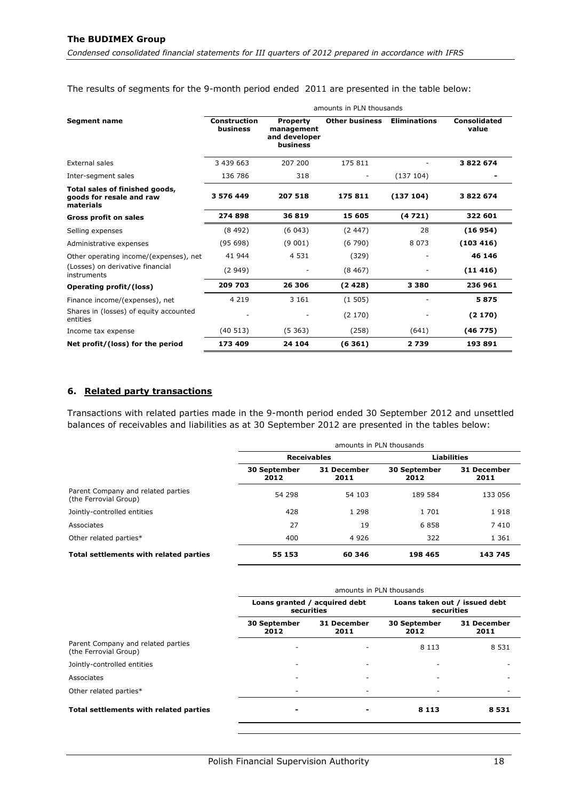The results of segments for the 9-month period ended 2011 are presented in the table below:

|                                                                         | amounts in PLN thousands        |                                                            |                       |                     |                              |  |
|-------------------------------------------------------------------------|---------------------------------|------------------------------------------------------------|-----------------------|---------------------|------------------------------|--|
| <b>Segment name</b>                                                     | <b>Construction</b><br>business | <b>Property</b><br>management<br>and developer<br>business | <b>Other business</b> | <b>Eliminations</b> | <b>Consolidated</b><br>value |  |
| <b>External sales</b>                                                   | 3 439 663                       | 207 200                                                    | 175 811               |                     | 3822674                      |  |
| Inter-segment sales                                                     | 136 786                         | 318                                                        |                       | (137104)            |                              |  |
| Total sales of finished goods,<br>goods for resale and raw<br>materials | 3 576 449                       | 207 518                                                    | 175811                | (137104)            | 3822674                      |  |
| <b>Gross profit on sales</b>                                            | 274898                          | 36819                                                      | 15 605                | (4721)              | 322 601                      |  |
| Selling expenses                                                        | (8492)                          | (6043)                                                     | (2447)                | 28                  | (16954)                      |  |
| Administrative expenses                                                 | (95698)                         | (9001)                                                     | (6790)                | 8 0 7 3             | (103 416)                    |  |
| Other operating income/(expenses), net                                  | 41 944                          | 4 5 3 1                                                    | (329)                 |                     | 46 146                       |  |
| (Losses) on derivative financial<br>instruments                         | (2949)                          |                                                            | (8467)                |                     | (11416)                      |  |
| Operating profit/(loss)                                                 | 209 703                         | 26 306                                                     | (2428)                | 3 3 8 0             | 236 961                      |  |
| Finance income/(expenses), net                                          | 4 2 1 9                         | 3 1 6 1                                                    | (1505)                |                     | 5875                         |  |
| Shares in (losses) of equity accounted<br>entities                      |                                 |                                                            | (2170)                |                     | (2170)                       |  |
| Income tax expense                                                      | (40513)                         | (5363)                                                     | (258)                 | (641)               | (46775)                      |  |
| Net profit/(loss) for the period                                        | 173 409                         | 24 104                                                     | (6361)                | 2739                | 193891                       |  |

#### <span id="page-18-0"></span>**6. Related party transactions**

Transactions with related parties made in the 9-month period ended 30 September 2012 and unsettled balances of receivables and liabilities as at 30 September 2012 are presented in the tables below:

|                                                             | amounts in PLN thousands    |                     |                             |                     |
|-------------------------------------------------------------|-----------------------------|---------------------|-----------------------------|---------------------|
|                                                             | <b>Receivables</b>          |                     | <b>Liabilities</b>          |                     |
|                                                             | <b>30 September</b><br>2012 | 31 December<br>2011 | <b>30 September</b><br>2012 | 31 December<br>2011 |
| Parent Company and related parties<br>(the Ferrovial Group) | 54 298                      | 54 103              | 189 584                     | 133 056             |
| Jointly-controlled entities                                 | 428                         | 1 2 9 8             | 1 701                       | 1918                |
| Associates                                                  | 27                          | 19                  | 6858                        | 7410                |
| Other related parties*                                      | 400                         | 4 9 2 6             | 322                         | 1 3 6 1             |
| Total settlements with related parties                      | 55 153                      | 60 346              | 198 465                     | 143 745             |

|                                                             | amounts in PLN thousands                    |                     |                                             |                            |
|-------------------------------------------------------------|---------------------------------------------|---------------------|---------------------------------------------|----------------------------|
|                                                             | Loans granted / acquired debt<br>securities |                     | Loans taken out / issued debt<br>securities |                            |
|                                                             | <b>30 September</b><br>2012                 | 31 December<br>2011 |                                             | <b>31 December</b><br>2011 |
| Parent Company and related parties<br>(the Ferrovial Group) |                                             |                     | 8 1 1 3                                     | 8 5 3 1                    |
| Jointly-controlled entities                                 |                                             | -                   |                                             |                            |
| Associates                                                  |                                             | -                   |                                             |                            |
| Other related parties*                                      | ۰                                           | -                   |                                             |                            |
| <b>Total settlements with related parties</b>               |                                             |                     | 8 1 1 3                                     | 8531                       |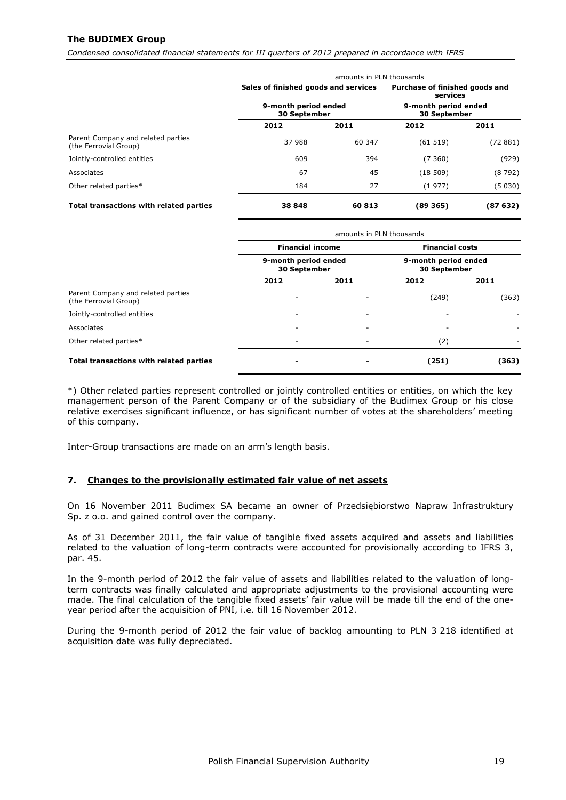## **The BUDIMEX Group**

*Condensed consolidated financial statements for III quarters of 2012 prepared in accordance with IFRS*

|                                                             | amounts in PLN thousands             |        |                                             |          |  |
|-------------------------------------------------------------|--------------------------------------|--------|---------------------------------------------|----------|--|
|                                                             | Sales of finished goods and services |        | Purchase of finished goods and<br>services  |          |  |
|                                                             | 9-month period ended<br>30 September |        | 9-month period ended<br><b>30 September</b> |          |  |
|                                                             | 2012                                 | 2011   | 2012                                        | 2011     |  |
| Parent Company and related parties<br>(the Ferrovial Group) | 37 988                               | 60 347 | (61519)                                     | (72881)  |  |
| Jointly-controlled entities                                 | 609                                  | 394    | (7360)                                      | (929)    |  |
| Associates                                                  | 67                                   | 45     | (18509)                                     | (8792)   |  |
| Other related parties*                                      | 184                                  | 27     | (1977)                                      | (5 030)  |  |
| Total transactions with related parties                     | 38 848                               | 60813  | (89 365)                                    | (87 632) |  |

|                                                             | amounts in PLN thousands             |                          |                                      |       |  |  |
|-------------------------------------------------------------|--------------------------------------|--------------------------|--------------------------------------|-------|--|--|
|                                                             | <b>Financial income</b>              |                          | <b>Financial costs</b>               |       |  |  |
|                                                             | 9-month period ended<br>30 September |                          | 9-month period ended<br>30 September |       |  |  |
|                                                             | 2012                                 | 2011                     | 2012                                 | 2011  |  |  |
| Parent Company and related parties<br>(the Ferrovial Group) |                                      | $\overline{\phantom{a}}$ | (249)                                | (363) |  |  |
| Jointly-controlled entities                                 |                                      | $\overline{\phantom{a}}$ |                                      |       |  |  |
| Associates                                                  |                                      | $\overline{\phantom{a}}$ |                                      |       |  |  |
| Other related parties*                                      |                                      | -                        | (2)                                  |       |  |  |
| Total transactions with related parties                     |                                      |                          | (251)                                | (363) |  |  |

\*) Other related parties represent controlled or jointly controlled entities or entities, on which the key management person of the Parent Company or of the subsidiary of the Budimex Group or his close relative exercises significant influence, or has significant number of votes at the shareholders' meeting of this company.

Inter-Group transactions are made on an arm's length basis.

#### <span id="page-19-0"></span>**7. Changes to the provisionally estimated fair value of net assets**

On 16 November 2011 Budimex SA became an owner of Przedsiębiorstwo Napraw Infrastruktury Sp. z o.o. and gained control over the company.

As of 31 December 2011, the fair value of tangible fixed assets acquired and assets and liabilities related to the valuation of long-term contracts were accounted for provisionally according to IFRS 3, par. 45.

In the 9-month period of 2012 the fair value of assets and liabilities related to the valuation of longterm contracts was finally calculated and appropriate adjustments to the provisional accounting were made. The final calculation of the tangible fixed assets' fair value will be made till the end of the oneyear period after the acquisition of PNI, i.e. till 16 November 2012.

During the 9-month period of 2012 the fair value of backlog amounting to PLN 3 218 identified at acquisition date was fully depreciated.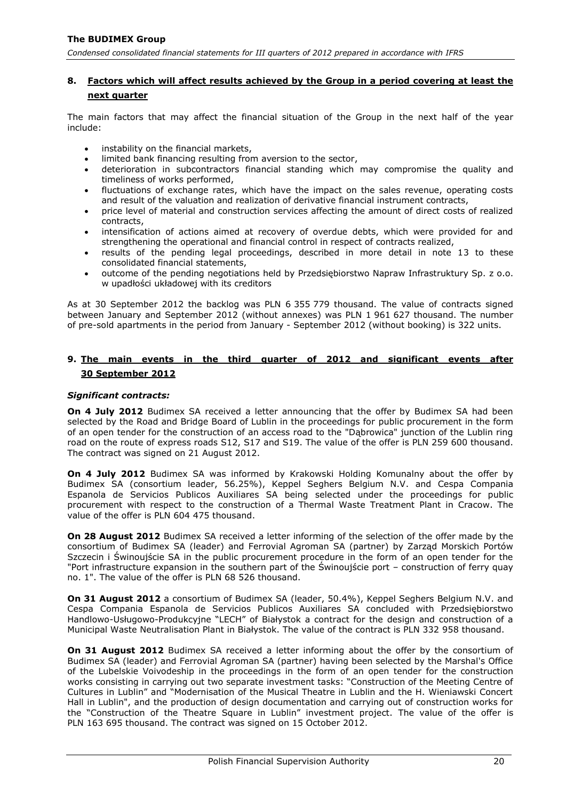## <span id="page-20-0"></span>**8. Factors which will affect results achieved by the Group in a period covering at least the next quarter**

The main factors that may affect the financial situation of the Group in the next half of the year include:

- instability on the financial markets,
- limited bank financing resulting from aversion to the sector,
- deterioration in subcontractors financial standing which may compromise the quality and timeliness of works performed,
- fluctuations of exchange rates, which have the impact on the sales revenue, operating costs and result of the valuation and realization of derivative financial instrument contracts,
- price level of material and construction services affecting the amount of direct costs of realized contracts,
- intensification of actions aimed at recovery of overdue debts, which were provided for and strengthening the operational and financial control in respect of contracts realized,
- results of the pending legal proceedings, described in more detail in note 13 to these consolidated financial statements,
- outcome of the pending negotiations held by Przedsiębiorstwo Napraw Infrastruktury Sp. z o.o. w upadłości układowej with its creditors

As at 30 September 2012 the backlog was PLN 6 355 779 thousand. The value of contracts signed between January and September 2012 (without annexes) was PLN 1 961 627 thousand. The number of pre-sold apartments in the period from January - September 2012 (without booking) is 322 units.

## <span id="page-20-1"></span>**9. The main events in the third quarter of 2012 and significant events after 30 September 2012**

#### *Significant contracts:*

**On 4 July 2012** Budimex SA received a letter announcing that the offer by Budimex SA had been selected by the Road and Bridge Board of Lublin in the proceedings for public procurement in the form of an open tender for the construction of an access road to the "Dąbrowica" junction of the Lublin ring road on the route of express roads S12, S17 and S19. The value of the offer is PLN 259 600 thousand. The contract was signed on 21 August 2012.

**On 4 July 2012** Budimex SA was informed by Krakowski Holding Komunalny about the offer by Budimex SA (consortium leader, 56.25%), Keppel Seghers Belgium N.V. and Cespa Compania Espanola de Servicios Publicos Auxiliares SA being selected under the proceedings for public procurement with respect to the construction of a Thermal Waste Treatment Plant in Cracow. The value of the offer is PLN 604 475 thousand.

**On 28 August 2012** Budimex SA received a letter informing of the selection of the offer made by the consortium of Budimex SA (leader) and Ferrovial Agroman SA (partner) by Zarząd Morskich Portów Szczecin i Świnoujście SA in the public procurement procedure in the form of an open tender for the "Port infrastructure expansion in the southern part of the Świnoujście port – construction of ferry quay no. 1". The value of the offer is PLN 68 526 thousand.

**On 31 August 2012** a consortium of Budimex SA (leader, 50.4%), Keppel Seghers Belgium N.V. and Cespa Compania Espanola de Servicios Publicos Auxiliares SA concluded with Przedsiębiorstwo Handlowo-Usługowo-Produkcyjne "LECH" of Białystok a contract for the design and construction of a Municipal Waste Neutralisation Plant in Białystok. The value of the contract is PLN 332 958 thousand.

**On 31 August 2012** Budimex SA received a letter informing about the offer by the consortium of Budimex SA (leader) and Ferrovial Agroman SA (partner) having been selected by the Marshal's Office of the Lubelskie Voivodeship in the proceedings in the form of an open tender for the construction works consisting in carrying out two separate investment tasks: "Construction of the Meeting Centre of Cultures in Lublin" and "Modernisation of the Musical Theatre in Lublin and the H. Wieniawski Concert Hall in Lublin", and the production of design documentation and carrying out of construction works for the "Construction of the Theatre Square in Lublin" investment project. The value of the offer is PLN 163 695 thousand. The contract was signed on 15 October 2012.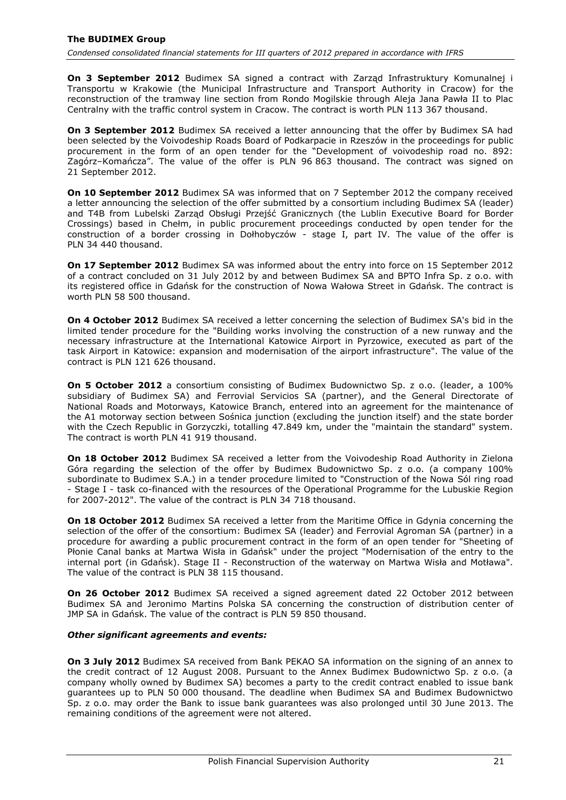**On 3 September 2012** Budimex SA signed a contract with Zarząd Infrastruktury Komunalnej i Transportu w Krakowie (the Municipal Infrastructure and Transport Authority in Cracow) for the reconstruction of the tramway line section from Rondo Mogilskie through Aleja Jana Pawła II to Plac Centralny with the traffic control system in Cracow. The contract is worth PLN 113 367 thousand.

**On 3 September 2012** Budimex SA received a letter announcing that the offer by Budimex SA had been selected by the Voivodeship Roads Board of Podkarpacie in Rzeszów in the proceedings for public procurement in the form of an open tender for the "Development of voivodeship road no. 892: Zagórz–Komańcza". The value of the offer is PLN 96 863 thousand. The contract was signed on 21 September 2012.

**On 10 September 2012** Budimex SA was informed that on 7 September 2012 the company received a letter announcing the selection of the offer submitted by a consortium including Budimex SA (leader) and T4B from Lubelski Zarząd Obsługi Przejść Granicznych (the Lublin Executive Board for Border Crossings) based in Chełm, in public procurement proceedings conducted by open tender for the construction of a border crossing in Dołhobyczów - stage I, part IV. The value of the offer is PLN 34 440 thousand.

**On 17 September 2012** Budimex SA was informed about the entry into force on 15 September 2012 of a contract concluded on 31 July 2012 by and between Budimex SA and BPTO Infra Sp. z o.o. with its registered office in Gdańsk for the construction of Nowa Wałowa Street in Gdańsk. The contract is worth PLN 58 500 thousand.

**On 4 October 2012** Budimex SA received a letter concerning the selection of Budimex SA's bid in the limited tender procedure for the "Building works involving the construction of a new runway and the necessary infrastructure at the International Katowice Airport in Pyrzowice, executed as part of the task Airport in Katowice: expansion and modernisation of the airport infrastructure". The value of the contract is PLN 121 626 thousand.

**On 5 October 2012** a consortium consisting of Budimex Budownictwo Sp. z o.o. (leader, a 100% subsidiary of Budimex SA) and Ferrovial Servicios SA (partner), and the General Directorate of National Roads and Motorways, Katowice Branch, entered into an agreement for the maintenance of the A1 motorway section between Sośnica junction (excluding the junction itself) and the state border with the Czech Republic in Gorzyczki, totalling 47.849 km, under the "maintain the standard" system. The contract is worth PLN 41 919 thousand.

**On 18 October 2012** Budimex SA received a letter from the Voivodeship Road Authority in Zielona Góra regarding the selection of the offer by Budimex Budownictwo Sp. z o.o. (a company 100% subordinate to Budimex S.A.) in a tender procedure limited to "Construction of the Nowa Sól ring road - Stage I - task co-financed with the resources of the Operational Programme for the Lubuskie Region for 2007-2012". The value of the contract is PLN 34 718 thousand.

**On 18 October 2012** Budimex SA received a letter from the Maritime Office in Gdynia concerning the selection of the offer of the consortium: Budimex SA (leader) and Ferrovial Agroman SA (partner) in a procedure for awarding a public procurement contract in the form of an open tender for "Sheeting of Płonie Canal banks at Martwa Wisła in Gdańsk" under the project "Modernisation of the entry to the internal port (in Gdańsk). Stage II - Reconstruction of the waterway on Martwa Wisła and Motława". The value of the contract is PLN 38 115 thousand.

**On 26 October 2012** Budimex SA received a signed agreement dated 22 October 2012 between Budimex SA and Jeronimo Martins Polska SA concerning the construction of distribution center of JMP SA in Gdańsk. The value of the contract is PLN 59 850 thousand.

## *Other significant agreements and events:*

**On 3 July 2012** Budimex SA received from Bank PEKAO SA information on the signing of an annex to the credit contract of 12 August 2008. Pursuant to the Annex Budimex Budownictwo Sp. z o.o. (a company wholly owned by Budimex SA) becomes a party to the credit contract enabled to issue bank guarantees up to PLN 50 000 thousand. The deadline when Budimex SA and Budimex Budownictwo Sp. z o.o. may order the Bank to issue bank guarantees was also prolonged until 30 June 2013. The remaining conditions of the agreement were not altered.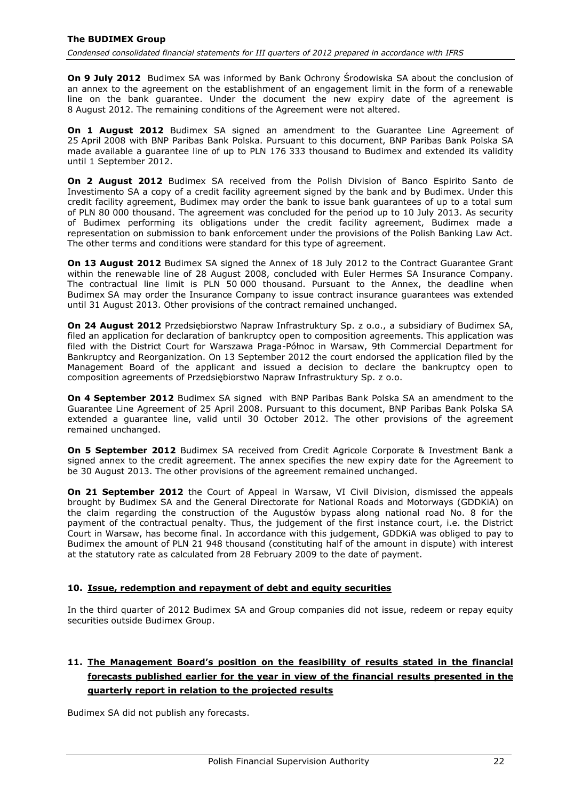**On 9 July 2012** Budimex SA was informed by Bank Ochrony Środowiska SA about the conclusion of an annex to the agreement on the establishment of an engagement limit in the form of a renewable line on the bank guarantee. Under the document the new expiry date of the agreement is 8 August 2012. The remaining conditions of the Agreement were not altered.

**On 1 August 2012** Budimex SA signed an amendment to the Guarantee Line Agreement of 25 April 2008 with BNP Paribas Bank Polska. Pursuant to this document, BNP Paribas Bank Polska SA made available a guarantee line of up to PLN 176 333 thousand to Budimex and extended its validity until 1 September 2012.

**On 2 August 2012** Budimex SA received from the Polish Division of Banco Espirito Santo de Investimento SA a copy of a credit facility agreement signed by the bank and by Budimex. Under this credit facility agreement, Budimex may order the bank to issue bank guarantees of up to a total sum of PLN 80 000 thousand. The agreement was concluded for the period up to 10 July 2013. As security of Budimex performing its obligations under the credit facility agreement, Budimex made a representation on submission to bank enforcement under the provisions of the Polish Banking Law Act. The other terms and conditions were standard for this type of agreement.

**On 13 August 2012** Budimex SA signed the Annex of 18 July 2012 to the Contract Guarantee Grant within the renewable line of 28 August 2008, concluded with Euler Hermes SA Insurance Company. The contractual line limit is PLN 50 000 thousand. Pursuant to the Annex, the deadline when Budimex SA may order the Insurance Company to issue contract insurance guarantees was extended until 31 August 2013. Other provisions of the contract remained unchanged.

**On 24 August 2012** Przedsiębiorstwo Napraw Infrastruktury Sp. z o.o., a subsidiary of Budimex SA, filed an application for declaration of bankruptcy open to composition agreements. This application was filed with the District Court for Warszawa Praga-Północ in Warsaw, 9th Commercial Department for Bankruptcy and Reorganization. On 13 September 2012 the court endorsed the application filed by the Management Board of the applicant and issued a decision to declare the bankruptcy open to composition agreements of Przedsiębiorstwo Napraw Infrastruktury Sp. z o.o.

**On 4 September 2012** Budimex SA signed with BNP Paribas Bank Polska SA an amendment to the Guarantee Line Agreement of 25 April 2008. Pursuant to this document, BNP Paribas Bank Polska SA extended a guarantee line, valid until 30 October 2012. The other provisions of the agreement remained unchanged.

**On 5 September 2012** Budimex SA received from Credit Agricole Corporate & Investment Bank a signed annex to the credit agreement. The annex specifies the new expiry date for the Agreement to be 30 August 2013. The other provisions of the agreement remained unchanged.

**On 21 September 2012** the Court of Appeal in Warsaw, VI Civil Division, dismissed the appeals brought by Budimex SA and the General Directorate for National Roads and Motorways (GDDKiA) on the claim regarding the construction of the Augustów bypass along national road No. 8 for the payment of the contractual penalty. Thus, the judgement of the first instance court, i.e. the District Court in Warsaw, has become final. In accordance with this judgement, GDDKiA was obliged to pay to Budimex the amount of PLN 21 948 thousand (constituting half of the amount in dispute) with interest at the statutory rate as calculated from 28 February 2009 to the date of payment.

## <span id="page-22-0"></span>**10. Issue, redemption and repayment of debt and equity securities**

In the third quarter of 2012 Budimex SA and Group companies did not issue, redeem or repay equity securities outside Budimex Group.

# <span id="page-22-1"></span>**11. The Management Board's position on the feasibility of results stated in the financial forecasts published earlier for the year in view of the financial results presented in the quarterly report in relation to the projected results**

Budimex SA did not publish any forecasts.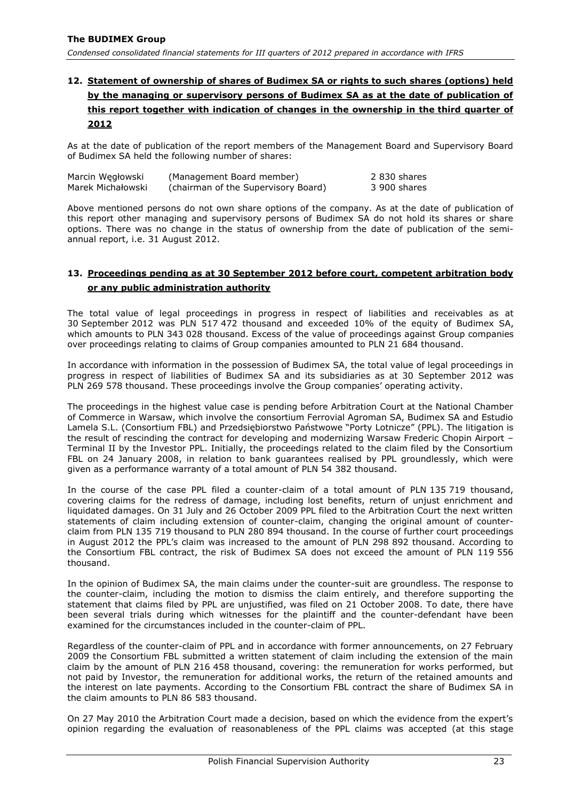# <span id="page-23-0"></span>**12. Statement of ownership of shares of Budimex SA or rights to such shares (options) held by the managing or supervisory persons of Budimex SA as at the date of publication of this report together with indication of changes in the ownership in the third quarter of 2012**

As at the date of publication of the report members of the Management Board and Supervisory Board of Budimex SA held the following number of shares:

| Marcin Wegłowski  | (Management Board member)           | 2 830 shares |
|-------------------|-------------------------------------|--------------|
| Marek Michałowski | (chairman of the Supervisory Board) | 3 900 shares |

Above mentioned persons do not own share options of the company. As at the date of publication of this report other managing and supervisory persons of Budimex SA do not hold its shares or share options. There was no change in the status of ownership from the date of publication of the semiannual report, i.e. 31 August 2012.

## <span id="page-23-1"></span>**13. Proceedings pending as at 30 September 2012 before court, competent arbitration body or any public administration authority**

The total value of legal proceedings in progress in respect of liabilities and receivables as at 30 September 2012 was PLN 517 472 thousand and exceeded 10% of the equity of Budimex SA, which amounts to PLN 343 028 thousand. Excess of the value of proceedings against Group companies over proceedings relating to claims of Group companies amounted to PLN 21 684 thousand.

In accordance with information in the possession of Budimex SA, the total value of legal proceedings in progress in respect of liabilities of Budimex SA and its subsidiaries as at 30 September 2012 was PLN 269 578 thousand. These proceedings involve the Group companies' operating activity.

The proceedings in the highest value case is pending before Arbitration Court at the National Chamber of Commerce in Warsaw, which involve the consortium Ferrovial Agroman SA, Budimex SA and Estudio Lamela S.L. (Consortium FBL) and Przedsiębiorstwo Państwowe "Porty Lotnicze" (PPL). The litigation is the result of rescinding the contract for developing and modernizing Warsaw Frederic Chopin Airport – Terminal II by the Investor PPL. Initially, the proceedings related to the claim filed by the Consortium FBL on 24 January 2008, in relation to bank guarantees realised by PPL groundlessly, which were given as a performance warranty of a total amount of PLN 54 382 thousand.

In the course of the case PPL filed a counter-claim of a total amount of PLN 135 719 thousand, covering claims for the redress of damage, including lost benefits, return of unjust enrichment and liquidated damages. On 31 July and 26 October 2009 PPL filed to the Arbitration Court the next written statements of claim including extension of counter-claim, changing the original amount of counterclaim from PLN 135 719 thousand to PLN 280 894 thousand. In the course of further court proceedings in August 2012 the PPL's claim was increased to the amount of PLN 298 892 thousand. According to the Consortium FBL contract, the risk of Budimex SA does not exceed the amount of PLN 119 556 thousand.

In the opinion of Budimex SA, the main claims under the counter-suit are groundless. The response to the counter-claim, including the motion to dismiss the claim entirely, and therefore supporting the statement that claims filed by PPL are unjustified, was filed on 21 October 2008. To date, there have been several trials during which witnesses for the plaintiff and the counter-defendant have been examined for the circumstances included in the counter-claim of PPL.

Regardless of the counter-claim of PPL and in accordance with former announcements, on 27 February 2009 the Consortium FBL submitted a written statement of claim including the extension of the main claim by the amount of PLN 216 458 thousand, covering: the remuneration for works performed, but not paid by Investor, the remuneration for additional works, the return of the retained amounts and the interest on late payments. According to the Consortium FBL contract the share of Budimex SA in the claim amounts to PLN 86 583 thousand.

On 27 May 2010 the Arbitration Court made a decision, based on which the evidence from the expert's opinion regarding the evaluation of reasonableness of the PPL claims was accepted (at this stage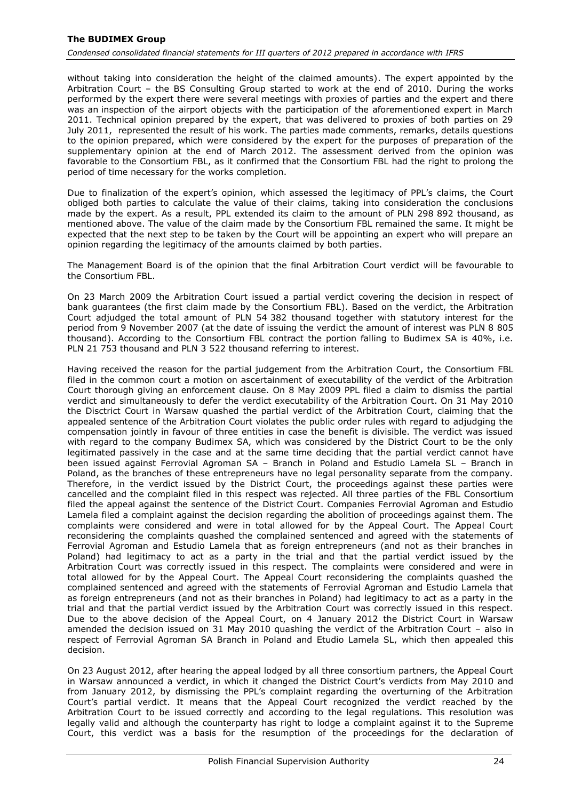without taking into consideration the height of the claimed amounts). The expert appointed by the Arbitration Court – the BS Consulting Group started to work at the end of 2010. During the works performed by the expert there were several meetings with proxies of parties and the expert and there was an inspection of the airport objects with the participation of the aforementioned expert in March 2011. Technical opinion prepared by the expert, that was delivered to proxies of both parties on 29 July 2011, represented the result of his work. The parties made comments, remarks, details questions to the opinion prepared, which were considered by the expert for the purposes of preparation of the supplementary opinion at the end of March 2012. The assessment derived from the opinion was favorable to the Consortium FBL, as it confirmed that the Consortium FBL had the right to prolong the period of time necessary for the works completion.

Due to finalization of the expert's opinion, which assessed the legitimacy of PPL's claims, the Court obliged both parties to calculate the value of their claims, taking into consideration the conclusions made by the expert. As a result, PPL extended its claim to the amount of PLN 298 892 thousand, as mentioned above. The value of the claim made by the Consortium FBL remained the same. It might be expected that the next step to be taken by the Court will be appointing an expert who will prepare an opinion regarding the legitimacy of the amounts claimed by both parties.

The Management Board is of the opinion that the final Arbitration Court verdict will be favourable to the Consortium FBL.

On 23 March 2009 the Arbitration Court issued a partial verdict covering the decision in respect of bank guarantees (the first claim made by the Consortium FBL). Based on the verdict, the Arbitration Court adjudged the total amount of PLN 54 382 thousand together with statutory interest for the period from 9 November 2007 (at the date of issuing the verdict the amount of interest was PLN 8 805 thousand). According to the Consortium FBL contract the portion falling to Budimex SA is 40%, i.e. PLN 21 753 thousand and PLN 3 522 thousand referring to interest.

Having received the reason for the partial judgement from the Arbitration Court, the Consortium FBL filed in the common court a motion on ascertainment of executability of the verdict of the Arbitration Court thorough giving an enforcement clause. On 8 May 2009 PPL filed a claim to dismiss the partial verdict and simultaneously to defer the verdict executability of the Arbitration Court. On 31 May 2010 the Disctrict Court in Warsaw quashed the partial verdict of the Arbitration Court, claiming that the appealed sentence of the Arbitration Court violates the public order rules with regard to adjudging the compensation jointly in favour of three entities in case the benefit is divisible. The verdict was issued with regard to the company Budimex SA, which was considered by the District Court to be the only legitimated passively in the case and at the same time deciding that the partial verdict cannot have been issued against Ferrovial Agroman SA – Branch in Poland and Estudio Lamela SL – Branch in Poland, as the branches of these entrepreneurs have no legal personality separate from the company. Therefore, in the verdict issued by the District Court, the proceedings against these parties were cancelled and the complaint filed in this respect was rejected. All three parties of the FBL Consortium filed the appeal against the sentence of the District Court. Companies Ferrovial Agroman and Estudio Lamela filed a complaint against the decision regarding the abolition of proceedings against them. The complaints were considered and were in total allowed for by the Appeal Court. The Appeal Court reconsidering the complaints quashed the complained sentenced and agreed with the statements of Ferrovial Agroman and Estudio Lamela that as foreign entrepreneurs (and not as their branches in Poland) had legitimacy to act as a party in the trial and that the partial verdict issued by the Arbitration Court was correctly issued in this respect. The complaints were considered and were in total allowed for by the Appeal Court. The Appeal Court reconsidering the complaints quashed the complained sentenced and agreed with the statements of Ferrovial Agroman and Estudio Lamela that as foreign entrepreneurs (and not as their branches in Poland) had legitimacy to act as a party in the trial and that the partial verdict issued by the Arbitration Court was correctly issued in this respect. Due to the above decision of the Appeal Court, on 4 January 2012 the District Court in Warsaw amended the decision issued on 31 May 2010 quashing the verdict of the Arbitration Court – also in respect of Ferrovial Agroman SA Branch in Poland and Etudio Lamela SL, which then appealed this decision.

On 23 August 2012, after hearing the appeal lodged by all three consortium partners, the Appeal Court in Warsaw announced a verdict, in which it changed the District Court's verdicts from May 2010 and from January 2012, by dismissing the PPL's complaint regarding the overturning of the Arbitration Court's partial verdict. It means that the Appeal Court recognized the verdict reached by the Arbitration Court to be issued correctly and according to the legal regulations. This resolution was legally valid and although the counterparty has right to lodge a complaint against it to the Supreme Court, this verdict was a basis for the resumption of the proceedings for the declaration of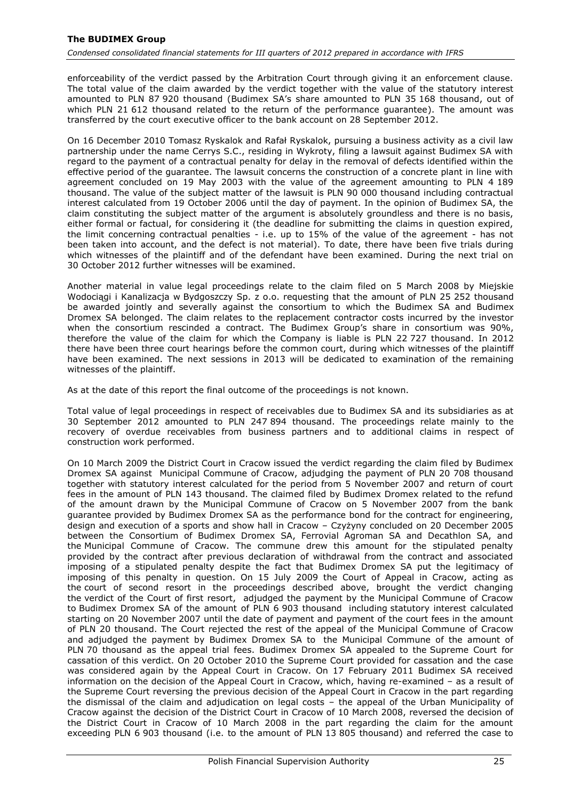enforceability of the verdict passed by the Arbitration Court through giving it an enforcement clause. The total value of the claim awarded by the verdict together with the value of the statutory interest amounted to PLN 87 920 thousand (Budimex SA's share amounted to PLN 35 168 thousand, out of which PLN 21 612 thousand related to the return of the performance guarantee). The amount was transferred by the court executive officer to the bank account on 28 September 2012.

On 16 December 2010 Tomasz Ryskalok and Rafał Ryskalok, pursuing a business activity as a civil law partnership under the name Cerrys S.C., residing in Wykroty, filing a lawsuit against Budimex SA with regard to the payment of a contractual penalty for delay in the removal of defects identified within the effective period of the guarantee. The lawsuit concerns the construction of a concrete plant in line with agreement concluded on 19 May 2003 with the value of the agreement amounting to PLN 4 189 thousand. The value of the subject matter of the lawsuit is PLN 90 000 thousand including contractual interest calculated from 19 October 2006 until the day of payment. In the opinion of Budimex SA, the claim constituting the subject matter of the argument is absolutely groundless and there is no basis, either formal or factual, for considering it (the deadline for submitting the claims in question expired, the limit concerning contractual penalties - i.e. up to 15% of the value of the agreement - has not been taken into account, and the defect is not material). To date, there have been five trials during which witnesses of the plaintiff and of the defendant have been examined. During the next trial on 30 October 2012 further witnesses will be examined.

Another material in value legal proceedings relate to the claim filed on 5 March 2008 by Miejskie Wodociągi i Kanalizacja w Bydgoszczy Sp. z o.o. requesting that the amount of PLN 25 252 thousand be awarded jointly and severally against the consortium to which the Budimex SA and Budimex Dromex SA belonged. The claim relates to the replacement contractor costs incurred by the investor when the consortium rescinded a contract. The Budimex Group's share in consortium was 90%, therefore the value of the claim for which the Company is liable is PLN 22 727 thousand. In 2012 there have been three court hearings before the common court, during which witnesses of the plaintiff have been examined. The next sessions in 2013 will be dedicated to examination of the remaining witnesses of the plaintiff.

As at the date of this report the final outcome of the proceedings is not known.

Total value of legal proceedings in respect of receivables due to Budimex SA and its subsidiaries as at 30 September 2012 amounted to PLN 247 894 thousand. The proceedings relate mainly to the recovery of overdue receivables from business partners and to additional claims in respect of construction work performed.

On 10 March 2009 the District Court in Cracow issued the verdict regarding the claim filed by Budimex Dromex SA against Municipal Commune of Cracow, adjudging the payment of PLN 20 708 thousand together with statutory interest calculated for the period from 5 November 2007 and return of court fees in the amount of PLN 143 thousand. The claimed filed by Budimex Dromex related to the refund of the amount drawn by the Municipal Commune of Cracow on 5 November 2007 from the bank guarantee provided by Budimex Dromex SA as the performance bond for the contract for engineering, design and execution of a sports and show hall in Cracow – Czyżyny concluded on 20 December 2005 between the Consortium of Budimex Dromex SA, Ferrovial Agroman SA and Decathlon SA, and the Municipal Commune of Cracow. The commune drew this amount for the stipulated penalty provided by the contract after previous declaration of withdrawal from the contract and associated imposing of a stipulated penalty despite the fact that Budimex Dromex SA put the legitimacy of imposing of this penalty in question. On 15 July 2009 the Court of Appeal in Cracow, acting as the court of second resort in the proceedings described above, brought the verdict changing the verdict of the Court of first resort, adjudged the payment by the Municipal Commune of Cracow to Budimex Dromex SA of the amount of PLN 6 903 thousand including statutory interest calculated starting on 20 November 2007 until the date of payment and payment of the court fees in the amount of PLN 20 thousand. The Court rejected the rest of the appeal of the Municipal Commune of Cracow and adjudged the payment by Budimex Dromex SA to the Municipal Commune of the amount of PLN 70 thousand as the appeal trial fees. Budimex Dromex SA appealed to the Supreme Court for cassation of this verdict. On 20 October 2010 the Supreme Court provided for cassation and the case was considered again by the Appeal Court in Cracow. On 17 February 2011 Budimex SA received information on the decision of the Appeal Court in Cracow, which, having re-examined – as a result of the Supreme Court reversing the previous decision of the Appeal Court in Cracow in the part regarding the dismissal of the claim and adjudication on legal costs – the appeal of the Urban Municipality of Cracow against the decision of the District Court in Cracow of 10 March 2008, reversed the decision of the District Court in Cracow of 10 March 2008 in the part regarding the claim for the amount exceeding PLN 6 903 thousand (i.e. to the amount of PLN 13 805 thousand) and referred the case to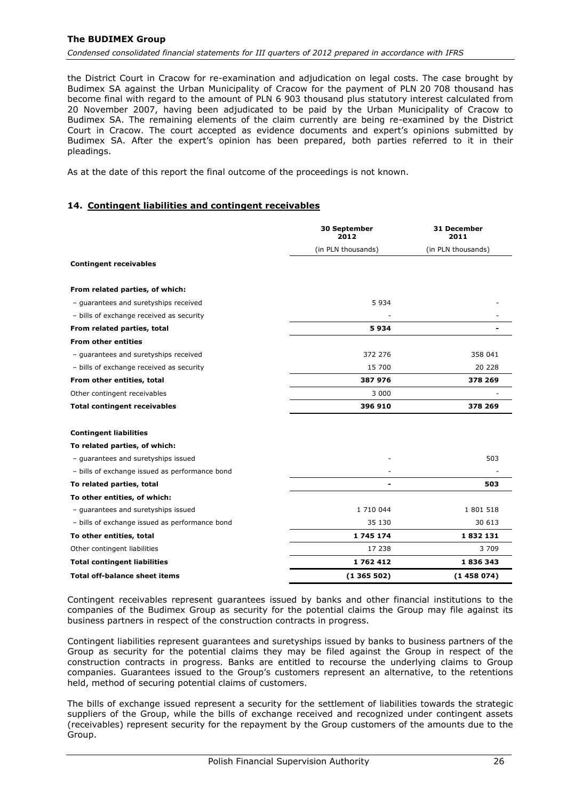#### **The BUDIMEX Group**

*Condensed consolidated financial statements for III quarters of 2012 prepared in accordance with IFRS*

the District Court in Cracow for re-examination and adjudication on legal costs. The case brought by Budimex SA against the Urban Municipality of Cracow for the payment of PLN 20 708 thousand has become final with regard to the amount of PLN 6 903 thousand plus statutory interest calculated from 20 November 2007, having been adjudicated to be paid by the Urban Municipality of Cracow to Budimex SA. The remaining elements of the claim currently are being re-examined by the District Court in Cracow. The court accepted as evidence documents and expert's opinions submitted by Budimex SA. After the expert's opinion has been prepared, both parties referred to it in their pleadings.

As at the date of this report the final outcome of the proceedings is not known.

#### <span id="page-26-0"></span>**14. Contingent liabilities and contingent receivables**

|                                                | 30 September<br>2012 | <b>31 December</b><br>2011 |
|------------------------------------------------|----------------------|----------------------------|
|                                                | (in PLN thousands)   | (in PLN thousands)         |
| <b>Contingent receivables</b>                  |                      |                            |
| From related parties, of which:                |                      |                            |
| - guarantees and suretyships received          | 5934                 |                            |
| - bills of exchange received as security       |                      |                            |
| From related parties, total                    | 5934                 |                            |
| <b>From other entities</b>                     |                      |                            |
| - guarantees and suretyships received          | 372 276              | 358 041                    |
| - bills of exchange received as security       | 15 700               | 20 228                     |
| From other entities, total                     | 387 976              | 378 269                    |
| Other contingent receivables                   | 3 0 0 0              |                            |
| <b>Total contingent receivables</b>            | 396 910              | 378 269                    |
| <b>Contingent liabilities</b>                  |                      |                            |
| To related parties, of which:                  |                      |                            |
| - guarantees and suretyships issued            |                      | 503                        |
| - bills of exchange issued as performance bond |                      |                            |
| To related parties, total                      |                      | 503                        |
| To other entities, of which:                   |                      |                            |
| - guarantees and suretyships issued            | 1 710 044            | 1801518                    |
| - bills of exchange issued as performance bond | 35 130               | 30 613                     |
| To other entities, total                       | 1 745 174            | 1832131                    |
| Other contingent liabilities                   | 17 238               | 3709                       |
| <b>Total contingent liabilities</b>            | 1762412              | 1836343                    |
| <b>Total off-balance sheet items</b>           | (1365502)            | (1458074)                  |

Contingent receivables represent guarantees issued by banks and other financial institutions to the companies of the Budimex Group as security for the potential claims the Group may file against its business partners in respect of the construction contracts in progress.

Contingent liabilities represent guarantees and suretyships issued by banks to business partners of the Group as security for the potential claims they may be filed against the Group in respect of the construction contracts in progress. Banks are entitled to recourse the underlying claims to Group companies. Guarantees issued to the Group's customers represent an alternative, to the retentions held, method of securing potential claims of customers.

The bills of exchange issued represent a security for the settlement of liabilities towards the strategic suppliers of the Group, while the bills of exchange received and recognized under contingent assets (receivables) represent security for the repayment by the Group customers of the amounts due to the Group.